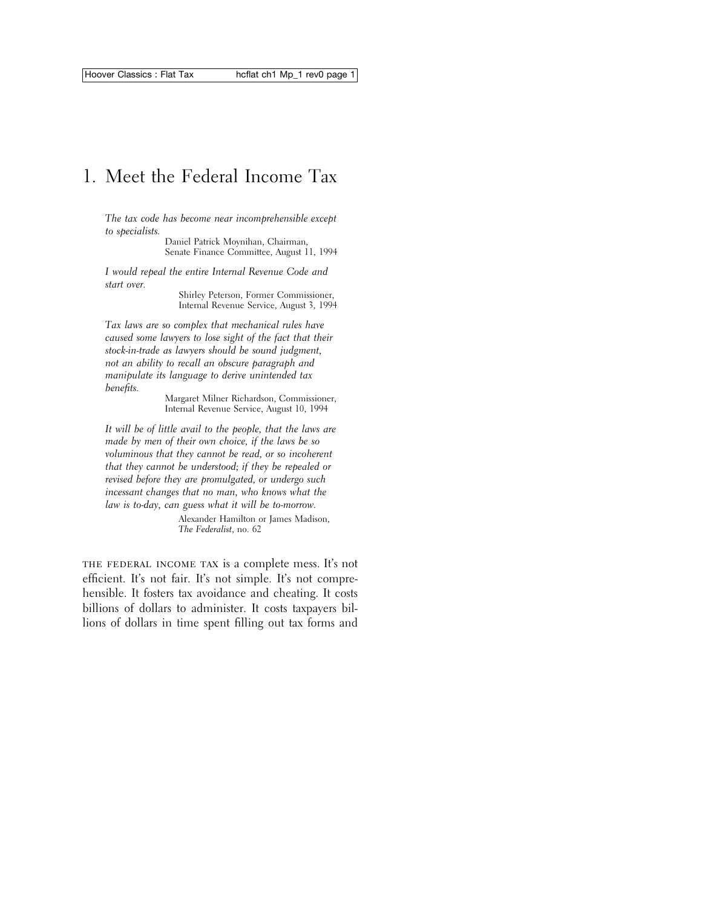# 1. Meet the Federal Income Tax

*The tax code has become near incomprehensible except to specialists.*

> Daniel Patrick Moynihan, Chairman, Senate Finance Committee, August 11, 1994

*I would repeal the entire Internal Revenue Code and start over.*

> Shirley Peterson, Former Commissioner, Internal Revenue Service, August 3, 1994

*Tax laws are so complex that mechanical rules have caused some lawyers to lose sight of the fact that their stock-in-trade as lawyers should be sound judgment, not an ability to recall an obscure paragraph and manipulate its language to derive unintended tax benefits.*

> Margaret Milner Richardson, Commissioner, Internal Revenue Service, August 10, 1994

*It will be of little avail to the people, that the laws are made by men of their own choice, if the laws be so voluminous that they cannot be read, or so incoherent that they cannot be understood; if they be repealed or revised before they are promulgated, or undergo such incessant changes that no man, who knows what the law is to-day, can guess what it will be to-morrow.*

> Alexander Hamilton or James Madison, *The Federalist*, no. 62

the federal income tax is a complete mess. It's not efficient. It's not fair. It's not simple. It's not comprehensible. It fosters tax avoidance and cheating. It costs billions of dollars to administer. It costs taxpayers billions of dollars in time spent filling out tax forms and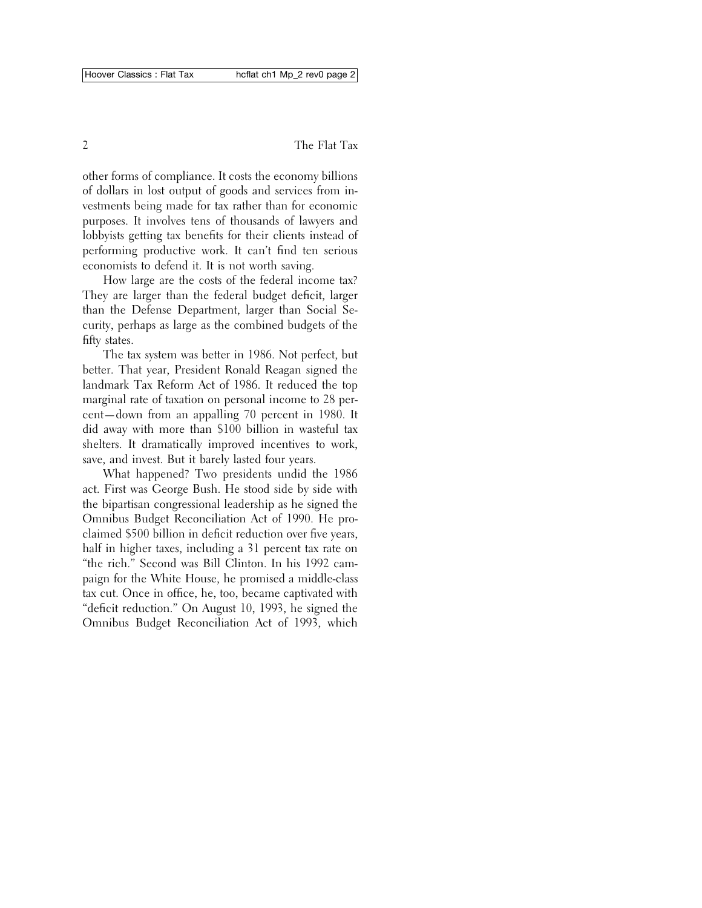other forms of compliance. It costs the economy billions of dollars in lost output of goods and services from investments being made for tax rather than for economic purposes. It involves tens of thousands of lawyers and lobbyists getting tax benefits for their clients instead of performing productive work. It can't find ten serious economists to defend it. It is not worth saving.

How large are the costs of the federal income tax? They are larger than the federal budget deficit, larger than the Defense Department, larger than Social Security, perhaps as large as the combined budgets of the fifty states.

The tax system was better in 1986. Not perfect, but better. That year, President Ronald Reagan signed the landmark Tax Reform Act of 1986. It reduced the top marginal rate of taxation on personal income to 28 percent—down from an appalling 70 percent in 1980. It did away with more than \$100 billion in wasteful tax shelters. It dramatically improved incentives to work, save, and invest. But it barely lasted four years.

What happened? Two presidents undid the 1986 act. First was George Bush. He stood side by side with the bipartisan congressional leadership as he signed the Omnibus Budget Reconciliation Act of 1990. He proclaimed \$500 billion in deficit reduction over five years, half in higher taxes, including a 31 percent tax rate on "the rich." Second was Bill Clinton. In his 1992 campaign for the White House, he promised a middle-class tax cut. Once in office, he, too, became captivated with "deficit reduction." On August 10, 1993, he signed the Omnibus Budget Reconciliation Act of 1993, which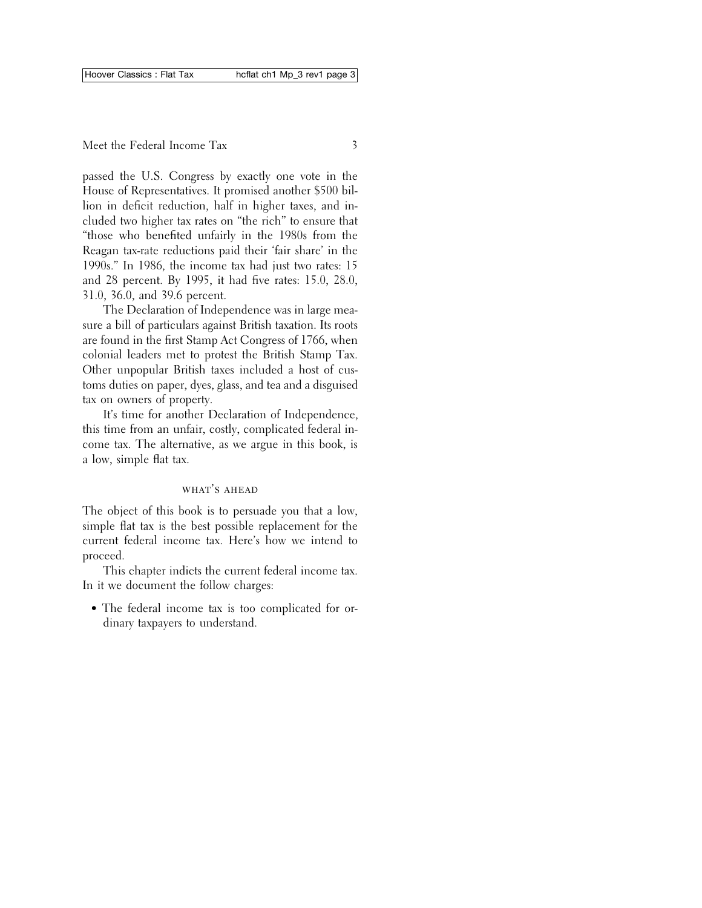passed the U.S. Congress by exactly one vote in the House of Representatives. It promised another \$500 billion in deficit reduction, half in higher taxes, and included two higher tax rates on "the rich" to ensure that "those who benefited unfairly in the 1980s from the Reagan tax-rate reductions paid their 'fair share' in the 1990s." In 1986, the income tax had just two rates: 15 and 28 percent. By 1995, it had five rates: 15.0, 28.0, 31.0, 36.0, and 39.6 percent.

The Declaration of Independence was in large measure a bill of particulars against British taxation. Its roots are found in the first Stamp Act Congress of 1766, when colonial leaders met to protest the British Stamp Tax. Other unpopular British taxes included a host of customs duties on paper, dyes, glass, and tea and a disguised tax on owners of property.

It's time for another Declaration of Independence, this time from an unfair, costly, complicated federal income tax. The alternative, as we argue in this book, is a low, simple flat tax.

### WHAT'S AHEAD

The object of this book is to persuade you that a low, simple flat tax is the best possible replacement for the current federal income tax. Here's how we intend to proceed.

This chapter indicts the current federal income tax. In it we document the follow charges:

• The federal income tax is too complicated for ordinary taxpayers to understand.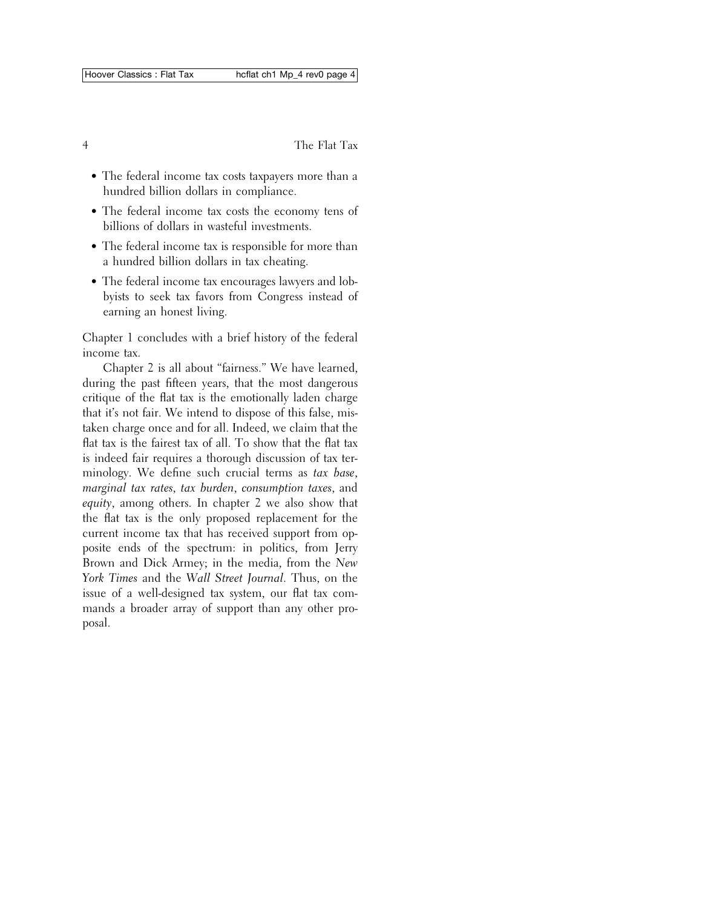- The federal income tax costs taxpayers more than a hundred billion dollars in compliance.
- The federal income tax costs the economy tens of billions of dollars in wasteful investments.
- The federal income tax is responsible for more than a hundred billion dollars in tax cheating.
- The federal income tax encourages lawyers and lobbyists to seek tax favors from Congress instead of earning an honest living.

Chapter 1 concludes with a brief history of the federal income tax.

Chapter 2 is all about "fairness." We have learned, during the past fifteen years, that the most dangerous critique of the flat tax is the emotionally laden charge that it's not fair. We intend to dispose of this false, mistaken charge once and for all. Indeed, we claim that the flat tax is the fairest tax of all. To show that the flat tax is indeed fair requires a thorough discussion of tax terminology. We define such crucial terms as *tax base*, *marginal tax rates*, *tax burden*, *consumption taxes*, and *equity*, among others. In chapter 2 we also show that the flat tax is the only proposed replacement for the current income tax that has received support from opposite ends of the spectrum: in politics, from Jerry Brown and Dick Armey; in the media, from the *New York Times* and the *Wall Street Journal*. Thus, on the issue of a well-designed tax system, our flat tax commands a broader array of support than any other proposal.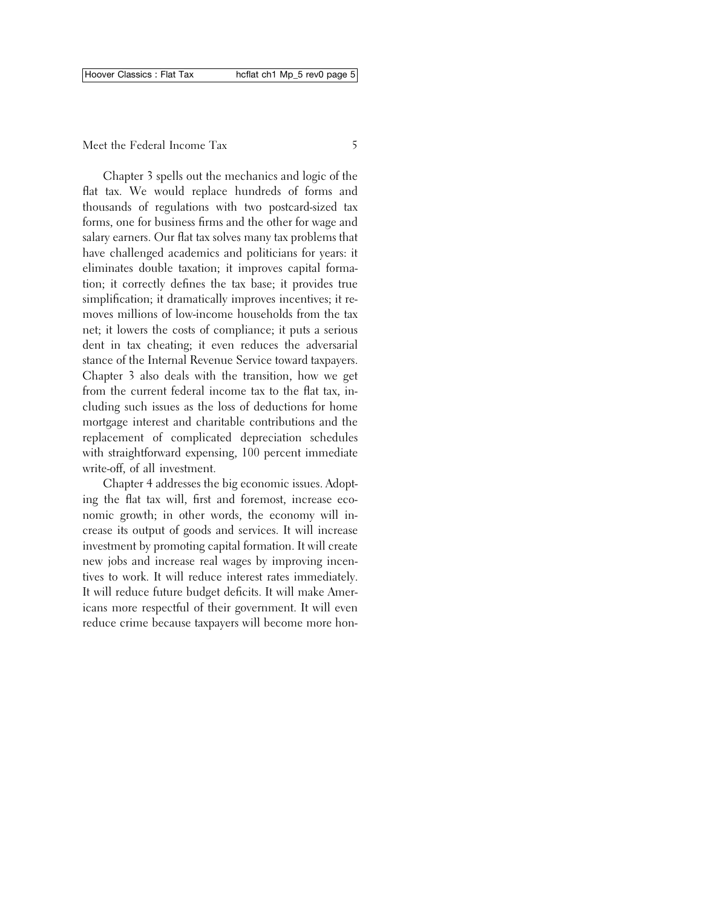Chapter 3 spells out the mechanics and logic of the flat tax. We would replace hundreds of forms and thousands of regulations with two postcard-sized tax forms, one for business firms and the other for wage and salary earners. Our flat tax solves many tax problems that have challenged academics and politicians for years: it eliminates double taxation; it improves capital formation; it correctly defines the tax base; it provides true simplification; it dramatically improves incentives; it removes millions of low-income households from the tax net; it lowers the costs of compliance; it puts a serious dent in tax cheating; it even reduces the adversarial stance of the Internal Revenue Service toward taxpayers. Chapter 3 also deals with the transition, how we get from the current federal income tax to the flat tax, including such issues as the loss of deductions for home mortgage interest and charitable contributions and the replacement of complicated depreciation schedules with straightforward expensing, 100 percent immediate write-off, of all investment.

Chapter 4 addresses the big economic issues. Adopting the flat tax will, first and foremost, increase economic growth; in other words, the economy will increase its output of goods and services. It will increase investment by promoting capital formation. It will create new jobs and increase real wages by improving incentives to work. It will reduce interest rates immediately. It will reduce future budget deficits. It will make Americans more respectful of their government. It will even reduce crime because taxpayers will become more hon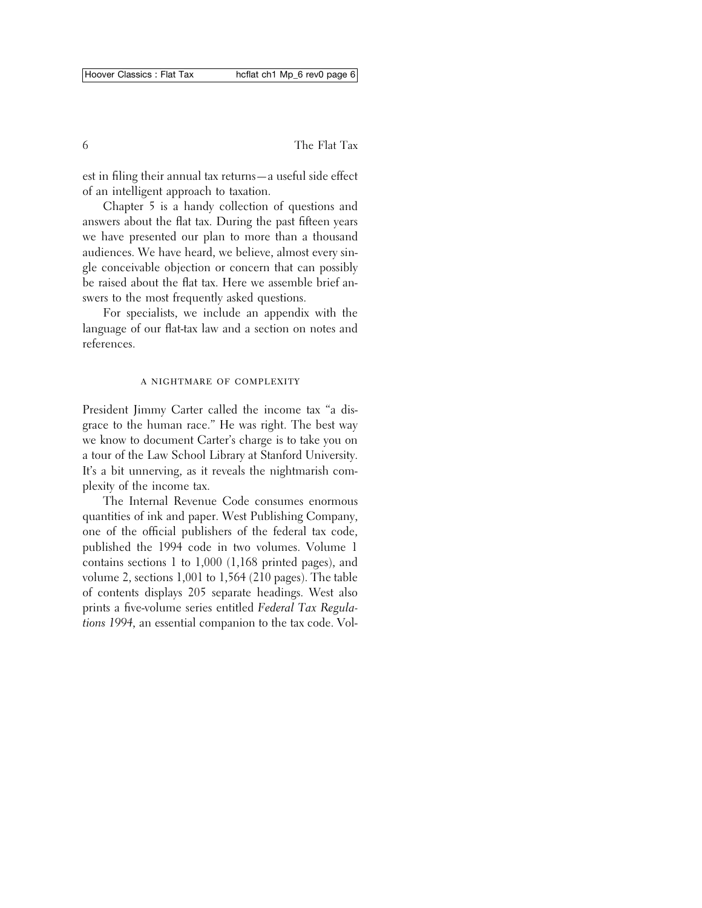est in filing their annual tax returns—a useful side effect of an intelligent approach to taxation.

Chapter 5 is a handy collection of questions and answers about the flat tax. During the past fifteen years we have presented our plan to more than a thousand audiences. We have heard, we believe, almost every single conceivable objection or concern that can possibly be raised about the flat tax. Here we assemble brief answers to the most frequently asked questions.

For specialists, we include an appendix with the language of our flat-tax law and a section on notes and references.

#### a nightmare of complexity

President Jimmy Carter called the income tax "a disgrace to the human race." He was right. The best way we know to document Carter's charge is to take you on a tour of the Law School Library at Stanford University. It's a bit unnerving, as it reveals the nightmarish complexity of the income tax.

The Internal Revenue Code consumes enormous quantities of ink and paper. West Publishing Company, one of the official publishers of the federal tax code, published the 1994 code in two volumes. Volume 1 contains sections 1 to 1,000 (1,168 printed pages), and volume 2, sections 1,001 to 1,564 (210 pages). The table of contents displays 205 separate headings. West also prints a five-volume series entitled *Federal Tax Regulations 1994,* an essential companion to the tax code. Vol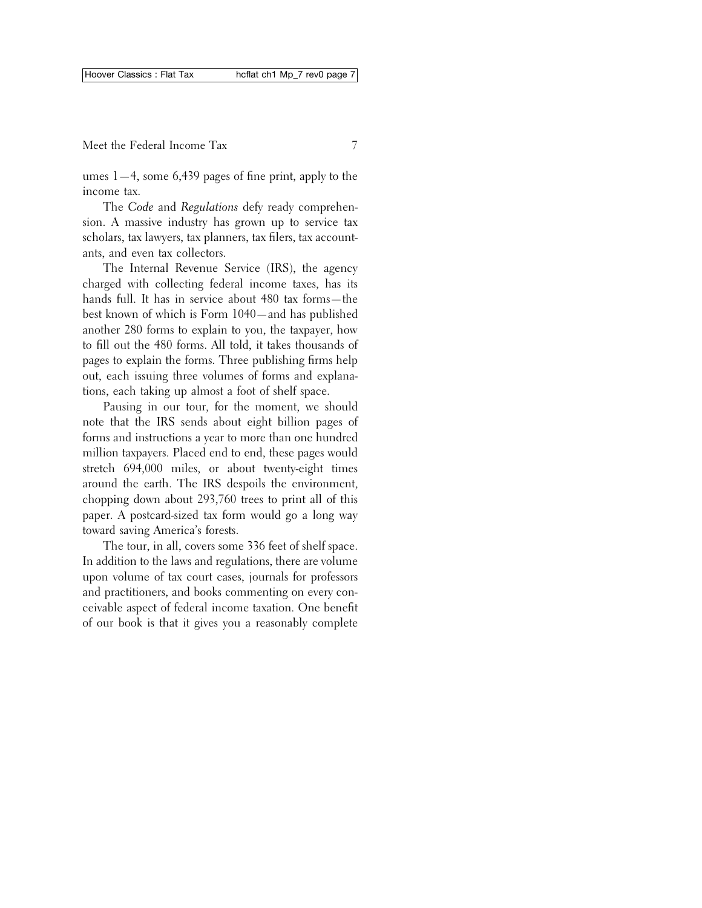umes  $1-4$ , some 6,439 pages of fine print, apply to the income tax.

The *Code* and *Regulations* defy ready comprehension. A massive industry has grown up to service tax scholars, tax lawyers, tax planners, tax filers, tax accountants, and even tax collectors.

The Internal Revenue Service (IRS), the agency charged with collecting federal income taxes, has its hands full. It has in service about 480 tax forms—the best known of which is Form 1040—and has published another 280 forms to explain to you, the taxpayer, how to fill out the 480 forms. All told, it takes thousands of pages to explain the forms. Three publishing firms help out, each issuing three volumes of forms and explanations, each taking up almost a foot of shelf space.

Pausing in our tour, for the moment, we should note that the IRS sends about eight billion pages of forms and instructions a year to more than one hundred million taxpayers. Placed end to end, these pages would stretch 694,000 miles, or about twenty-eight times around the earth. The IRS despoils the environment, chopping down about 293,760 trees to print all of this paper. A postcard-sized tax form would go a long way toward saving America's forests.

The tour, in all, covers some 336 feet of shelf space. In addition to the laws and regulations, there are volume upon volume of tax court cases, journals for professors and practitioners, and books commenting on every conceivable aspect of federal income taxation. One benefit of our book is that it gives you a reasonably complete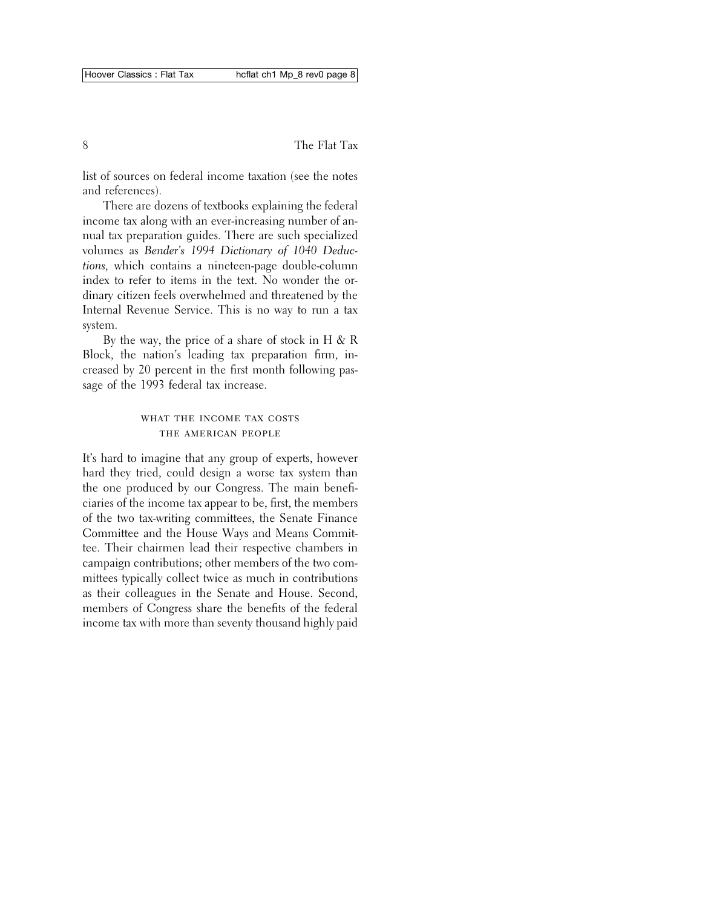list of sources on federal income taxation (see the notes and references).

There are dozens of textbooks explaining the federal income tax along with an ever-increasing number of annual tax preparation guides. There are such specialized volumes as *Bender's 1994 Dictionary of 1040 Deductions,* which contains a nineteen-page double-column index to refer to items in the text. No wonder the ordinary citizen feels overwhelmed and threatened by the Internal Revenue Service. This is no way to run a tax system.

By the way, the price of a share of stock in  $H \& R$ Block, the nation's leading tax preparation firm, increased by 20 percent in the first month following passage of the 1993 federal tax increase.

## WHAT THE INCOME TAX COSTS the american people

It's hard to imagine that any group of experts, however hard they tried, could design a worse tax system than the one produced by our Congress. The main beneficiaries of the income tax appear to be, first, the members of the two tax-writing committees, the Senate Finance Committee and the House Ways and Means Committee. Their chairmen lead their respective chambers in campaign contributions; other members of the two committees typically collect twice as much in contributions as their colleagues in the Senate and House. Second, members of Congress share the benefits of the federal income tax with more than seventy thousand highly paid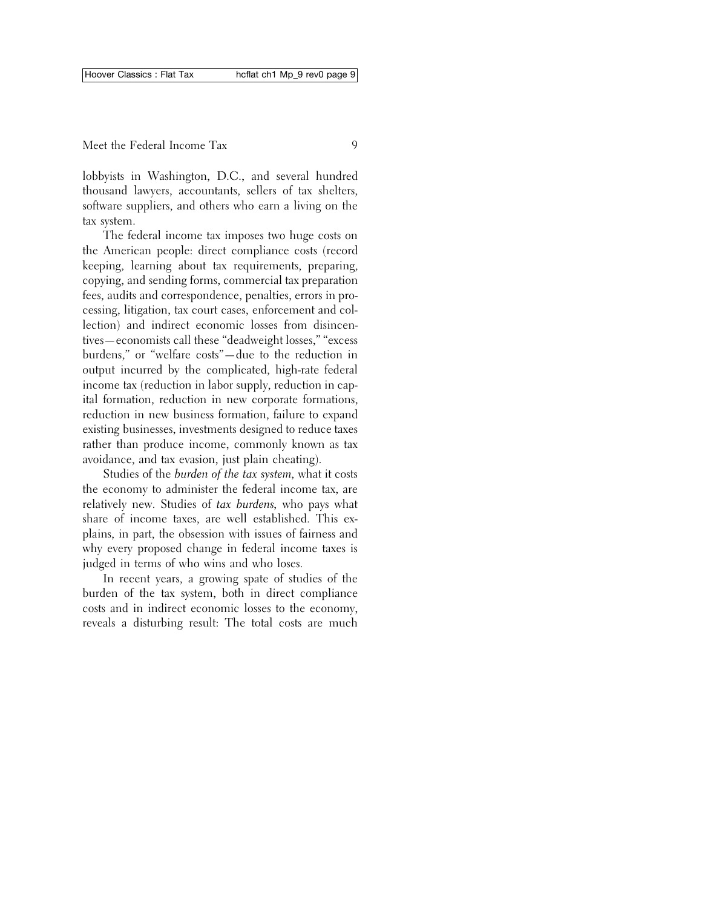lobbyists in Washington, D.C., and several hundred thousand lawyers, accountants, sellers of tax shelters, software suppliers, and others who earn a living on the tax system.

The federal income tax imposes two huge costs on the American people: direct compliance costs (record keeping, learning about tax requirements, preparing, copying, and sending forms, commercial tax preparation fees, audits and correspondence, penalties, errors in processing, litigation, tax court cases, enforcement and collection) and indirect economic losses from disincentives—economists call these "deadweight losses," "excess burdens," or "welfare costs"—due to the reduction in output incurred by the complicated, high-rate federal income tax (reduction in labor supply, reduction in capital formation, reduction in new corporate formations, reduction in new business formation, failure to expand existing businesses, investments designed to reduce taxes rather than produce income, commonly known as tax avoidance, and tax evasion, just plain cheating).

Studies of the *burden of the tax system,* what it costs the economy to administer the federal income tax, are relatively new. Studies of *tax burdens,* who pays what share of income taxes, are well established. This explains, in part, the obsession with issues of fairness and why every proposed change in federal income taxes is judged in terms of who wins and who loses.

In recent years, a growing spate of studies of the burden of the tax system, both in direct compliance costs and in indirect economic losses to the economy, reveals a disturbing result: The total costs are much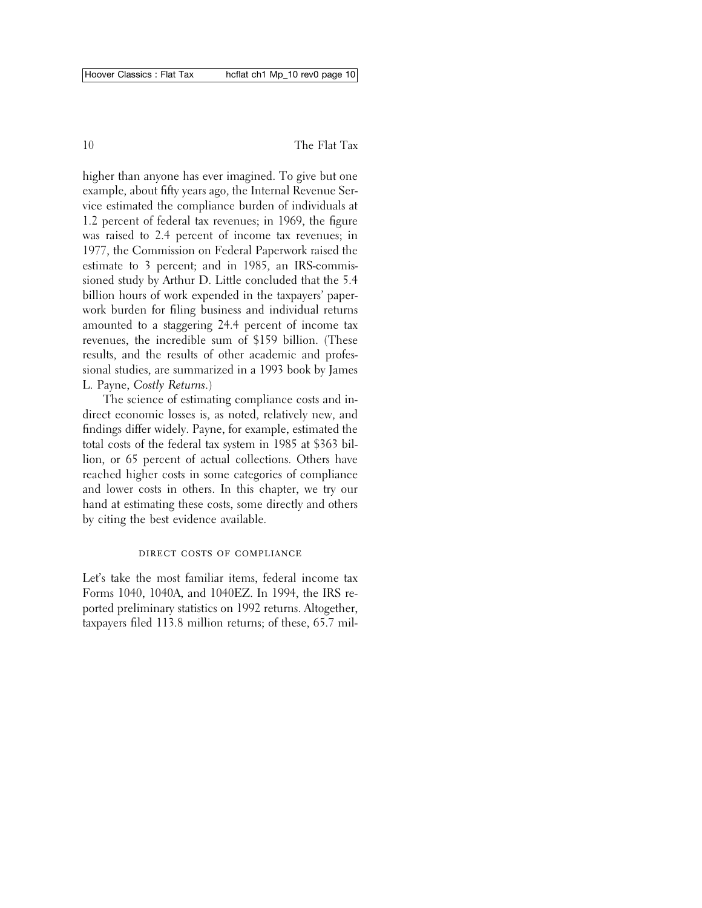higher than anyone has ever imagined. To give but one example, about fifty years ago, the Internal Revenue Service estimated the compliance burden of individuals at 1.2 percent of federal tax revenues; in 1969, the figure was raised to 2.4 percent of income tax revenues; in 1977, the Commission on Federal Paperwork raised the estimate to 3 percent; and in 1985, an IRS-commissioned study by Arthur D. Little concluded that the 5.4 billion hours of work expended in the taxpayers' paperwork burden for filing business and individual returns amounted to a staggering 24.4 percent of income tax revenues, the incredible sum of \$159 billion. (These results, and the results of other academic and professional studies, are summarized in a 1993 book by James L. Payne, *Costly Returns*.)

The science of estimating compliance costs and indirect economic losses is, as noted, relatively new, and findings differ widely. Payne, for example, estimated the total costs of the federal tax system in 1985 at \$363 billion, or 65 percent of actual collections. Others have reached higher costs in some categories of compliance and lower costs in others. In this chapter, we try our hand at estimating these costs, some directly and others by citing the best evidence available.

#### direct costs of compliance

Let's take the most familiar items, federal income tax Forms 1040, 1040A, and 1040EZ. In 1994, the IRS reported preliminary statistics on 1992 returns. Altogether, taxpayers filed 113.8 million returns; of these, 65.7 mil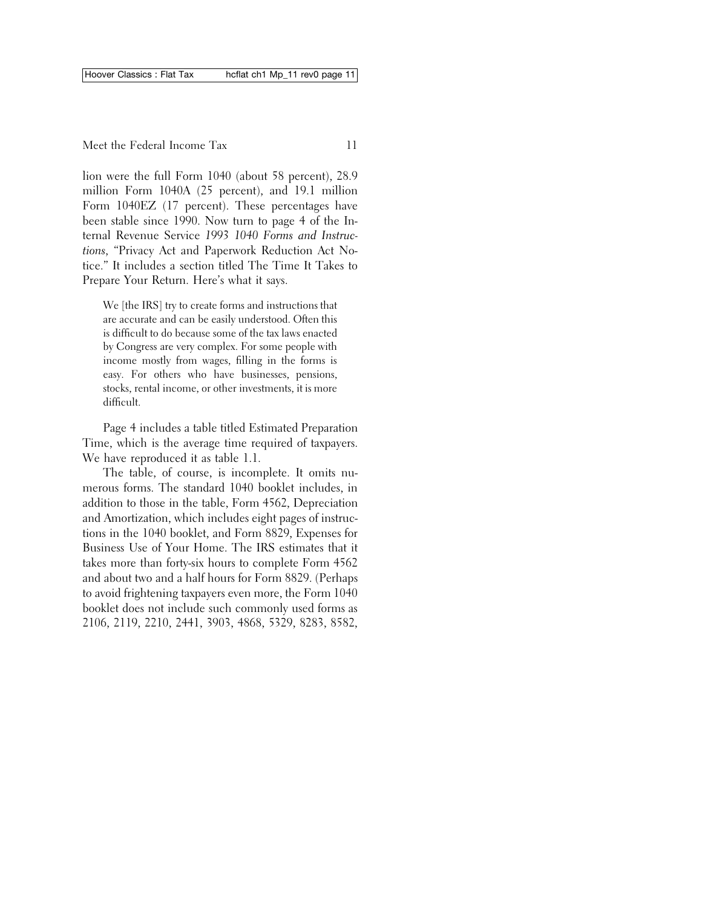lion were the full Form 1040 (about 58 percent), 28.9 million Form 1040A (25 percent), and 19.1 million Form 1040EZ (17 percent). These percentages have been stable since 1990. Now turn to page 4 of the Internal Revenue Service *1993 1040 Forms and Instructions*, "Privacy Act and Paperwork Reduction Act Notice." It includes a section titled The Time It Takes to Prepare Your Return. Here's what it says.

We [the IRS] try to create forms and instructions that are accurate and can be easily understood. Often this is difficult to do because some of the tax laws enacted by Congress are very complex. For some people with income mostly from wages, filling in the forms is easy. For others who have businesses, pensions, stocks, rental income, or other investments, it is more difficult.

Page 4 includes a table titled Estimated Preparation Time, which is the average time required of taxpayers. We have reproduced it as table 1.1.

The table, of course, is incomplete. It omits numerous forms. The standard 1040 booklet includes, in addition to those in the table, Form 4562, Depreciation and Amortization, which includes eight pages of instructions in the 1040 booklet, and Form 8829, Expenses for Business Use of Your Home. The IRS estimates that it takes more than forty-six hours to complete Form 4562 and about two and a half hours for Form 8829. (Perhaps to avoid frightening taxpayers even more, the Form 1040 booklet does not include such commonly used forms as 2106, 2119, 2210, 2441, 3903, 4868, 5329, 8283, 8582,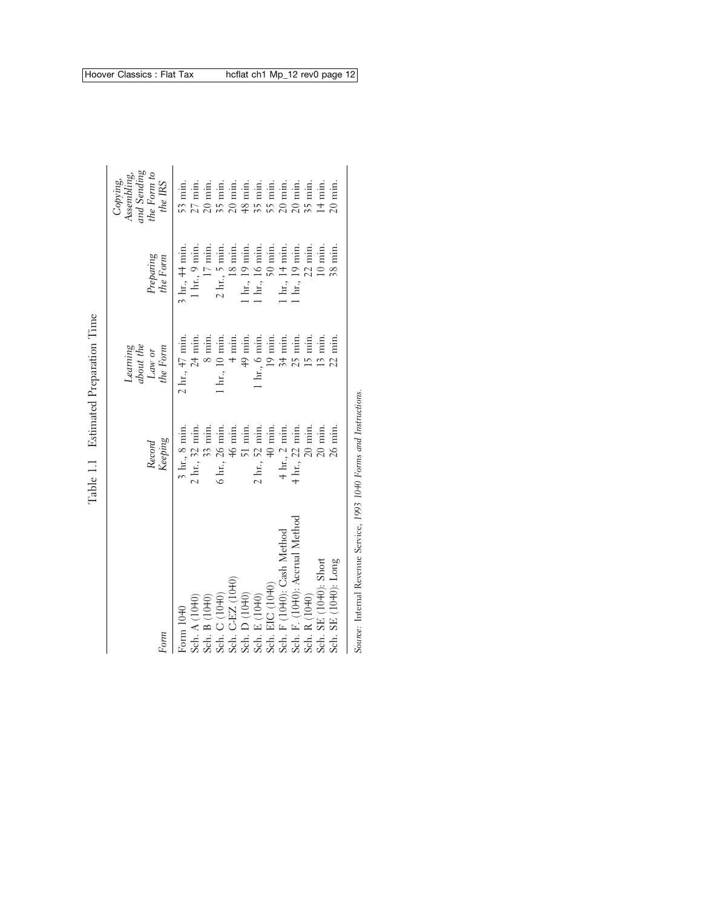| Form                                                                | Keeping<br>Record                | about the<br>the Form<br>Leaming<br>Law or | Preparing<br>the Form                                  | and Sending<br>the Form to<br>Assembling,<br>Copying,<br>the IRS |
|---------------------------------------------------------------------|----------------------------------|--------------------------------------------|--------------------------------------------------------|------------------------------------------------------------------|
|                                                                     |                                  |                                            |                                                        |                                                                  |
| Form 1040                                                           | $3 \text{ hr}$ , $8 \text{ min}$ | $2 \text{ hr}$ , $47 \text{ min}$ .        | $3 \text{ hr}$ , $44 \text{ min}$ .                    | $53$ min.                                                        |
| Sch. A (1040)                                                       | 2 hr., 32 min.                   | 24 min.                                    | $1 \text{ hr}$ , $9 \text{ min}$ .                     | 27 min.                                                          |
|                                                                     | $33$ min.                        | $8$ min.                                   | $17$ min                                               | 20 min.                                                          |
| Sch. B (1040)<br>Sch. C (1040)                                      | 6 hr., 26 min.                   | hr., 10 min                                | $2 \text{ hr}$ , $5 \text{ min}$ .                     | $35 \text{ min}$                                                 |
|                                                                     | $46$ min.                        | $4 \text{ min.}$                           | $18$ min.                                              | $20$ min.                                                        |
| Sch. C-EZ (1040)<br>Sch. D (1040)                                   | 51 min.                          | $49$ min.                                  | hr., 19 min.                                           | $48$ min.                                                        |
| Sch. E (1040)                                                       | 2 hr., 52 min.                   | hr, 6 min                                  | hr., 16 min.                                           | $35$ min.                                                        |
|                                                                     | $40$ min.                        | $19$ min.                                  | $50$ min.                                              | $55$ min.                                                        |
| Sch. EIC (1040)<br>Sch. F (1040): Cash Method                       | $4 \text{ hr}$ , 2 min.          | $34$ min.                                  | hr., 14 min.                                           | $20$ min.                                                        |
| Sch. F. (1040): Accrual Method                                      | 4 hr., 22 min.                   | 25 min.                                    | $19 \text{ min.}$<br>$\mathbf{h}_{\mathrm{H}_{ij}}$ ). | min.                                                             |
| Sch. R (1040)                                                       | $20$ min.                        | $15$ min.                                  | 22 min.                                                | $35$ min.                                                        |
| Sch. SE (1040): Short                                               | $20$ min.                        | $13$ min.                                  | $10$ min.                                              | $[4 \text{ min}]$                                                |
| SE (1040): Long<br>Sch.                                             | 26 min.                          | $\overline{\text{min}}$ .                  | $88 \text{ min}$                                       | $20 \text{ min}$                                                 |
| Source: Internal Revenue Service, 1993 1040 Forms and Instructions. |                                  |                                            |                                                        |                                                                  |

Table 1.1 Estimated Preparation Time Table 1.1 Estimated Preparation Time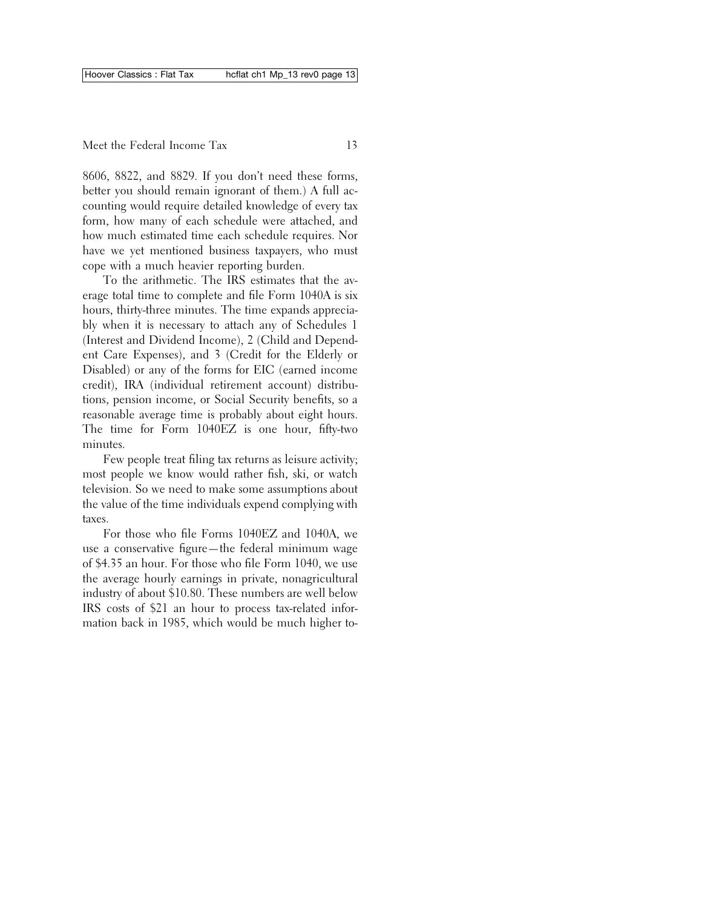8606, 8822, and 8829. If you don't need these forms, better you should remain ignorant of them.) A full accounting would require detailed knowledge of every tax form, how many of each schedule were attached, and how much estimated time each schedule requires. Nor have we yet mentioned business taxpayers, who must cope with a much heavier reporting burden.

To the arithmetic. The IRS estimates that the average total time to complete and file Form 1040A is six hours, thirty-three minutes. The time expands appreciably when it is necessary to attach any of Schedules 1 (Interest and Dividend Income), 2 (Child and Dependent Care Expenses), and 3 (Credit for the Elderly or Disabled) or any of the forms for EIC (earned income credit), IRA (individual retirement account) distributions, pension income, or Social Security benefits, so a reasonable average time is probably about eight hours. The time for Form 1040EZ is one hour, fifty-two minutes.

Few people treat filing tax returns as leisure activity; most people we know would rather fish, ski, or watch television. So we need to make some assumptions about the value of the time individuals expend complying with taxes.

For those who file Forms 1040EZ and 1040A, we use a conservative figure—the federal minimum wage of \$4.35 an hour. For those who file Form 1040, we use the average hourly earnings in private, nonagricultural industry of about \$10.80. These numbers are well below IRS costs of \$21 an hour to process tax-related information back in 1985, which would be much higher to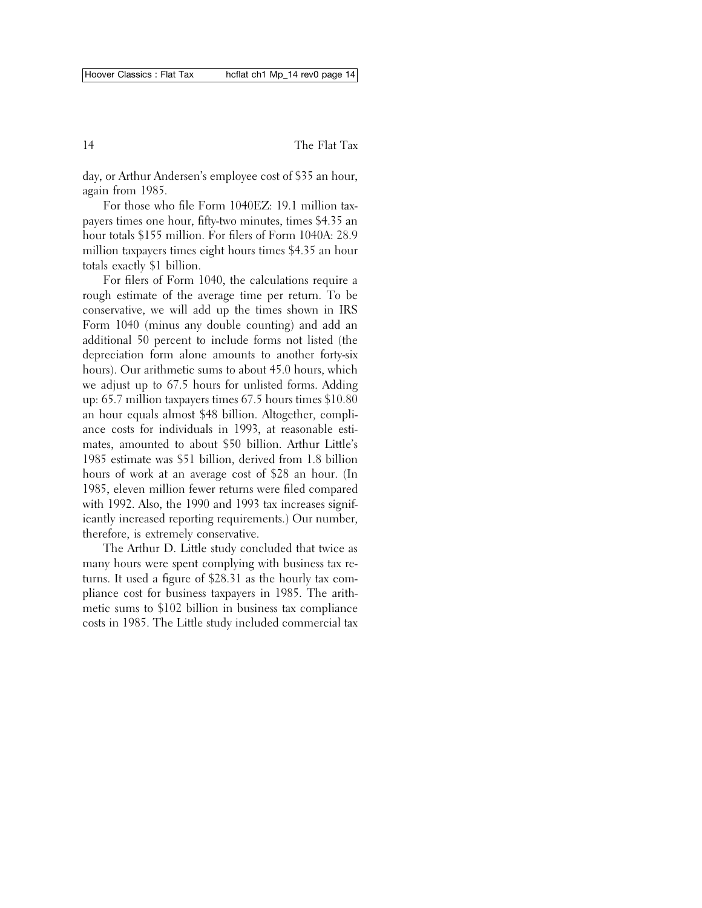day, or Arthur Andersen's employee cost of \$35 an hour, again from 1985.

For those who file Form 1040EZ: 19.1 million taxpayers times one hour, fifty-two minutes, times \$4.35 an hour totals \$155 million. For filers of Form 1040A: 28.9 million taxpayers times eight hours times \$4.35 an hour totals exactly \$1 billion.

For filers of Form 1040, the calculations require a rough estimate of the average time per return. To be conservative, we will add up the times shown in IRS Form 1040 (minus any double counting) and add an additional 50 percent to include forms not listed (the depreciation form alone amounts to another forty-six hours). Our arithmetic sums to about 45.0 hours, which we adjust up to 67.5 hours for unlisted forms. Adding up: 65.7 million taxpayers times 67.5 hours times \$10.80 an hour equals almost \$48 billion. Altogether, compliance costs for individuals in 1993, at reasonable estimates, amounted to about \$50 billion. Arthur Little's 1985 estimate was \$51 billion, derived from 1.8 billion hours of work at an average cost of \$28 an hour. (In 1985, eleven million fewer returns were filed compared with 1992. Also, the 1990 and 1993 tax increases significantly increased reporting requirements.) Our number, therefore, is extremely conservative.

The Arthur D. Little study concluded that twice as many hours were spent complying with business tax returns. It used a figure of \$28.31 as the hourly tax compliance cost for business taxpayers in 1985. The arithmetic sums to \$102 billion in business tax compliance costs in 1985. The Little study included commercial tax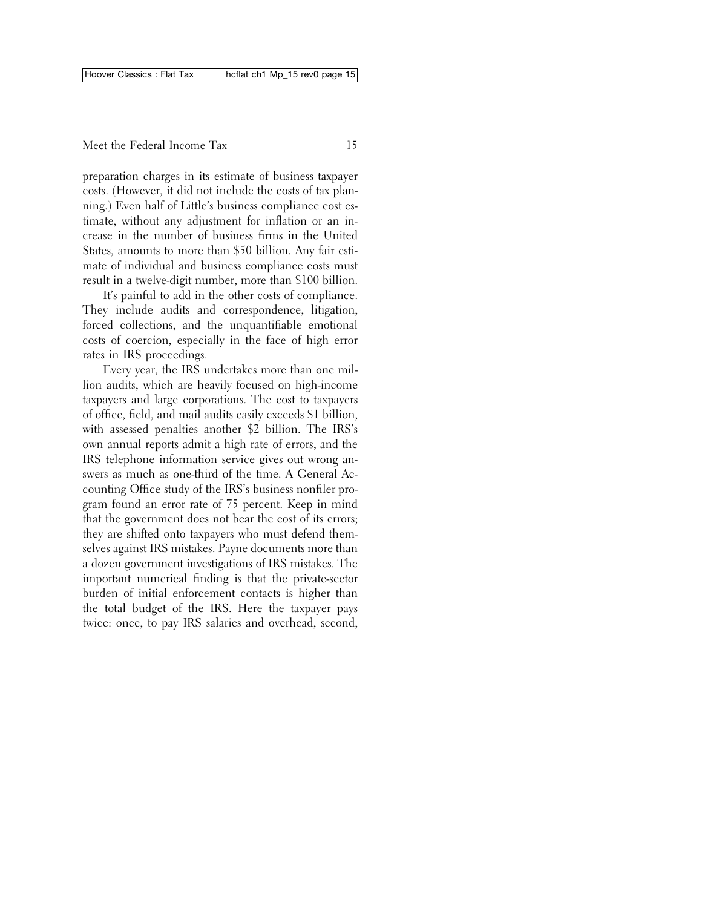preparation charges in its estimate of business taxpayer costs. (However, it did not include the costs of tax planning.) Even half of Little's business compliance cost estimate, without any adjustment for inflation or an increase in the number of business firms in the United States, amounts to more than \$50 billion. Any fair estimate of individual and business compliance costs must result in a twelve-digit number, more than \$100 billion.

It's painful to add in the other costs of compliance. They include audits and correspondence, litigation, forced collections, and the unquantifiable emotional costs of coercion, especially in the face of high error rates in IRS proceedings.

Every year, the IRS undertakes more than one million audits, which are heavily focused on high-income taxpayers and large corporations. The cost to taxpayers of office, field, and mail audits easily exceeds \$1 billion, with assessed penalties another \$2 billion. The IRS's own annual reports admit a high rate of errors, and the IRS telephone information service gives out wrong answers as much as one-third of the time. A General Accounting Office study of the IRS's business nonfiler program found an error rate of 75 percent. Keep in mind that the government does not bear the cost of its errors; they are shifted onto taxpayers who must defend themselves against IRS mistakes. Payne documents more than a dozen government investigations of IRS mistakes. The important numerical finding is that the private-sector burden of initial enforcement contacts is higher than the total budget of the IRS. Here the taxpayer pays twice: once, to pay IRS salaries and overhead, second,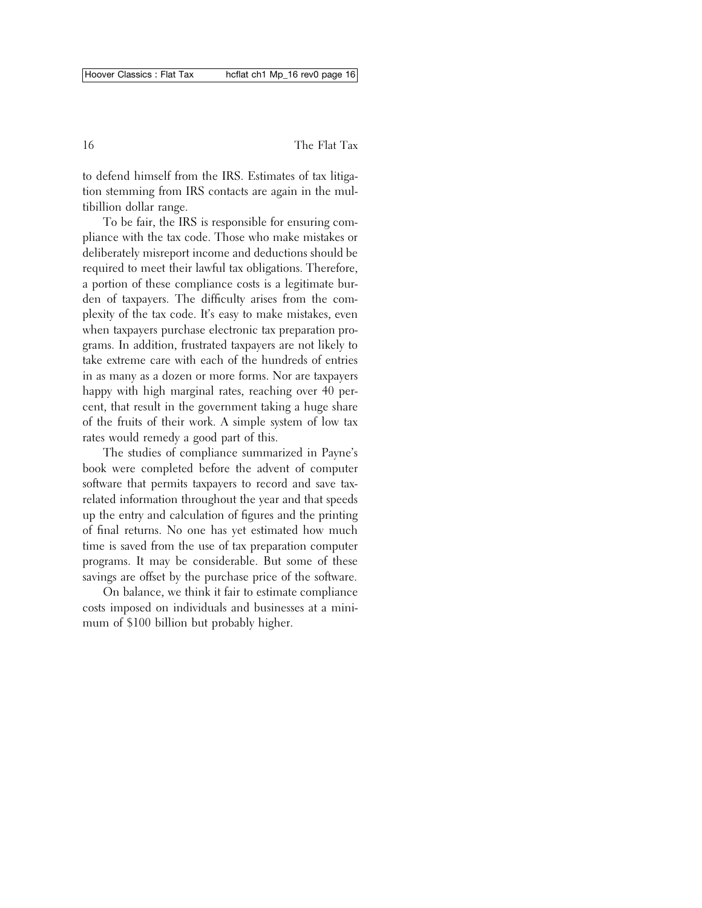to defend himself from the IRS. Estimates of tax litigation stemming from IRS contacts are again in the multibillion dollar range.

To be fair, the IRS is responsible for ensuring compliance with the tax code. Those who make mistakes or deliberately misreport income and deductions should be required to meet their lawful tax obligations. Therefore, a portion of these compliance costs is a legitimate burden of taxpayers. The difficulty arises from the complexity of the tax code. It's easy to make mistakes, even when taxpayers purchase electronic tax preparation programs. In addition, frustrated taxpayers are not likely to take extreme care with each of the hundreds of entries in as many as a dozen or more forms. Nor are taxpayers happy with high marginal rates, reaching over 40 percent, that result in the government taking a huge share of the fruits of their work. A simple system of low tax rates would remedy a good part of this.

The studies of compliance summarized in Payne's book were completed before the advent of computer software that permits taxpayers to record and save taxrelated information throughout the year and that speeds up the entry and calculation of figures and the printing of final returns. No one has yet estimated how much time is saved from the use of tax preparation computer programs. It may be considerable. But some of these savings are offset by the purchase price of the software.

On balance, we think it fair to estimate compliance costs imposed on individuals and businesses at a minimum of \$100 billion but probably higher.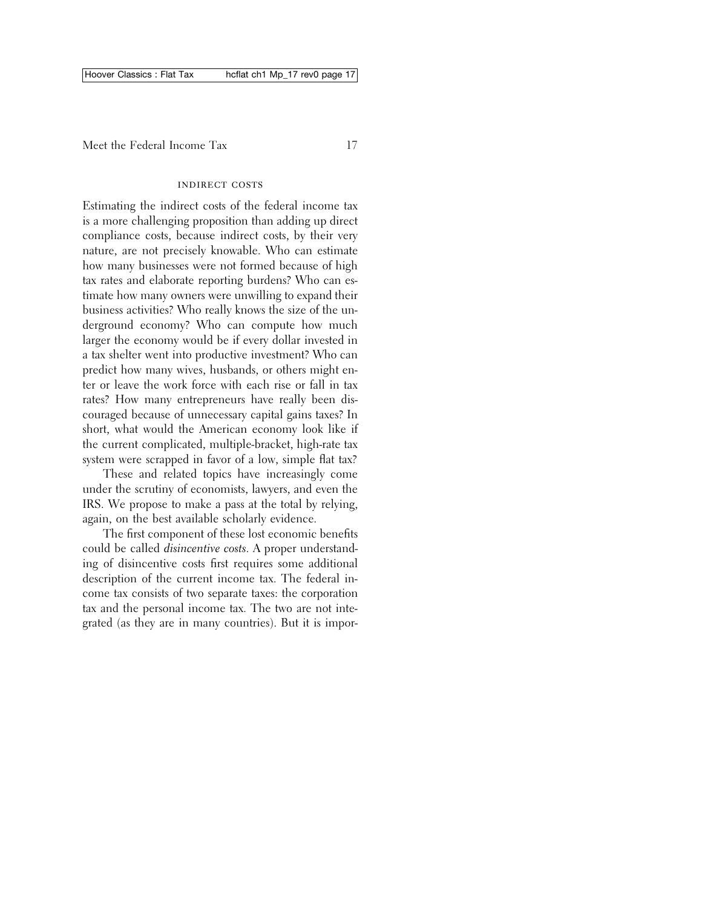#### indirect costs

Estimating the indirect costs of the federal income tax is a more challenging proposition than adding up direct compliance costs, because indirect costs, by their very nature, are not precisely knowable. Who can estimate how many businesses were not formed because of high tax rates and elaborate reporting burdens? Who can estimate how many owners were unwilling to expand their business activities? Who really knows the size of the underground economy? Who can compute how much larger the economy would be if every dollar invested in a tax shelter went into productive investment? Who can predict how many wives, husbands, or others might enter or leave the work force with each rise or fall in tax rates? How many entrepreneurs have really been discouraged because of unnecessary capital gains taxes? In short, what would the American economy look like if the current complicated, multiple-bracket, high-rate tax system were scrapped in favor of a low, simple flat tax?

These and related topics have increasingly come under the scrutiny of economists, lawyers, and even the IRS. We propose to make a pass at the total by relying, again, on the best available scholarly evidence.

The first component of these lost economic benefits could be called *disincentive costs*. A proper understanding of disincentive costs first requires some additional description of the current income tax. The federal income tax consists of two separate taxes: the corporation tax and the personal income tax. The two are not integrated (as they are in many countries). But it is impor-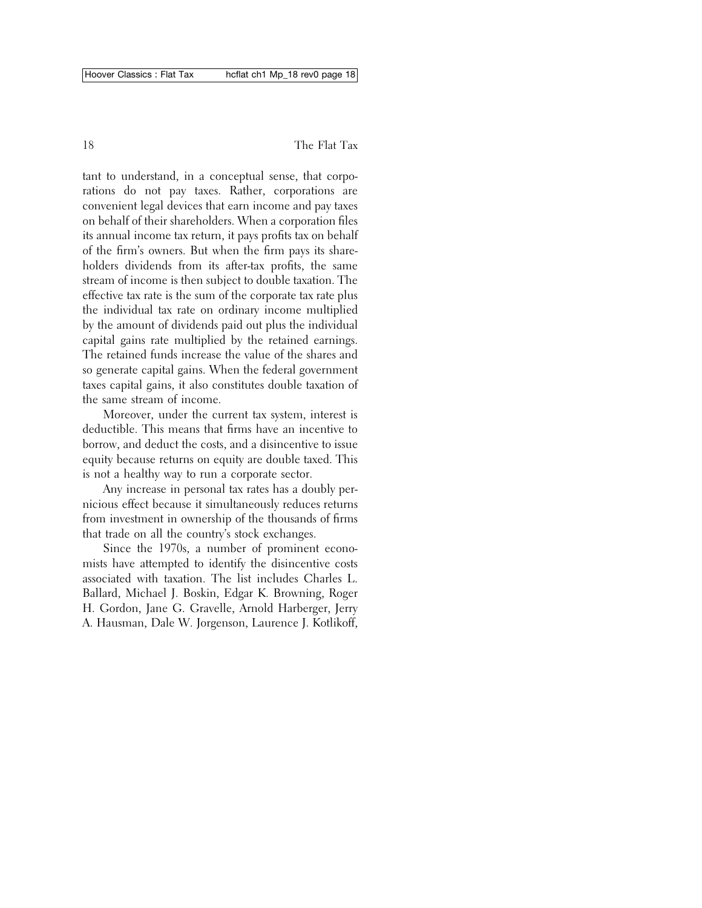tant to understand, in a conceptual sense, that corporations do not pay taxes. Rather, corporations are convenient legal devices that earn income and pay taxes on behalf of their shareholders. When a corporation files its annual income tax return, it pays profits tax on behalf of the firm's owners. But when the firm pays its shareholders dividends from its after-tax profits, the same stream of income is then subject to double taxation. The effective tax rate is the sum of the corporate tax rate plus the individual tax rate on ordinary income multiplied by the amount of dividends paid out plus the individual capital gains rate multiplied by the retained earnings. The retained funds increase the value of the shares and so generate capital gains. When the federal government taxes capital gains, it also constitutes double taxation of the same stream of income.

Moreover, under the current tax system, interest is deductible. This means that firms have an incentive to borrow, and deduct the costs, and a disincentive to issue equity because returns on equity are double taxed. This is not a healthy way to run a corporate sector.

Any increase in personal tax rates has a doubly pernicious effect because it simultaneously reduces returns from investment in ownership of the thousands of firms that trade on all the country's stock exchanges.

Since the 1970s, a number of prominent economists have attempted to identify the disincentive costs associated with taxation. The list includes Charles L. Ballard, Michael J. Boskin, Edgar K. Browning, Roger H. Gordon, Jane G. Gravelle, Arnold Harberger, Jerry A. Hausman, Dale W. Jorgenson, Laurence J. Kotlikoff,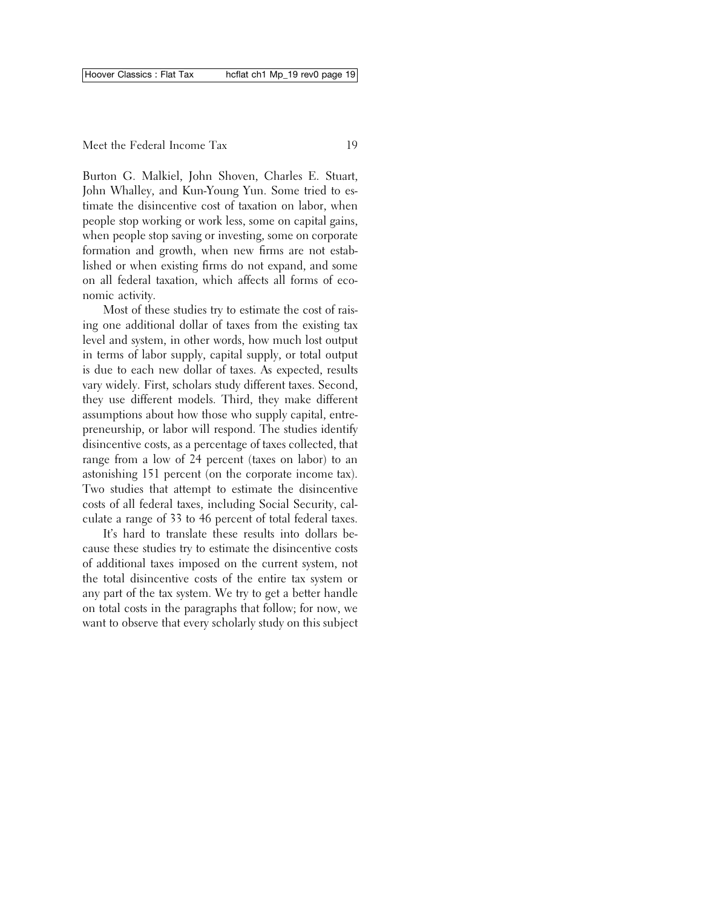Burton G. Malkiel, John Shoven, Charles E. Stuart, John Whalley, and Kun-Young Yun. Some tried to estimate the disincentive cost of taxation on labor, when people stop working or work less, some on capital gains, when people stop saving or investing, some on corporate formation and growth, when new firms are not established or when existing firms do not expand, and some on all federal taxation, which affects all forms of economic activity.

Most of these studies try to estimate the cost of raising one additional dollar of taxes from the existing tax level and system, in other words, how much lost output in terms of labor supply, capital supply, or total output is due to each new dollar of taxes. As expected, results vary widely. First, scholars study different taxes. Second, they use different models. Third, they make different assumptions about how those who supply capital, entrepreneurship, or labor will respond. The studies identify disincentive costs, as a percentage of taxes collected, that range from a low of 24 percent (taxes on labor) to an astonishing 151 percent (on the corporate income tax). Two studies that attempt to estimate the disincentive costs of all federal taxes, including Social Security, calculate a range of 33 to 46 percent of total federal taxes.

It's hard to translate these results into dollars because these studies try to estimate the disincentive costs of additional taxes imposed on the current system, not the total disincentive costs of the entire tax system or any part of the tax system. We try to get a better handle on total costs in the paragraphs that follow; for now, we want to observe that every scholarly study on this subject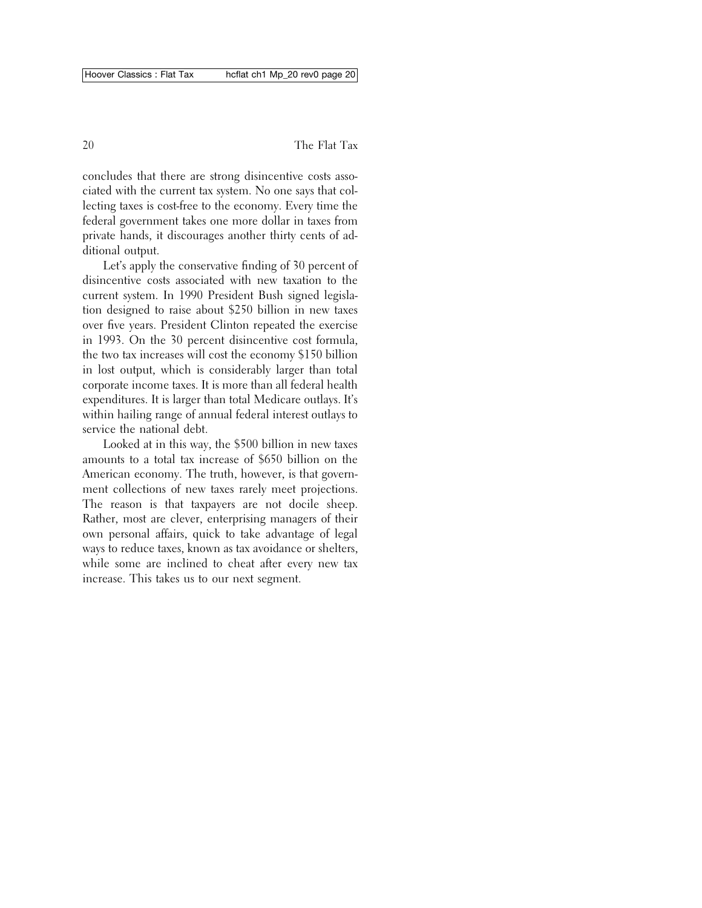concludes that there are strong disincentive costs associated with the current tax system. No one says that collecting taxes is cost-free to the economy. Every time the federal government takes one more dollar in taxes from private hands, it discourages another thirty cents of additional output.

Let's apply the conservative finding of 30 percent of disincentive costs associated with new taxation to the current system. In 1990 President Bush signed legislation designed to raise about \$250 billion in new taxes over five years. President Clinton repeated the exercise in 1993. On the 30 percent disincentive cost formula, the two tax increases will cost the economy \$150 billion in lost output, which is considerably larger than total corporate income taxes. It is more than all federal health expenditures. It is larger than total Medicare outlays. It's within hailing range of annual federal interest outlays to service the national debt.

Looked at in this way, the \$500 billion in new taxes amounts to a total tax increase of \$650 billion on the American economy. The truth, however, is that government collections of new taxes rarely meet projections. The reason is that taxpayers are not docile sheep. Rather, most are clever, enterprising managers of their own personal affairs, quick to take advantage of legal ways to reduce taxes, known as tax avoidance or shelters, while some are inclined to cheat after every new tax increase. This takes us to our next segment.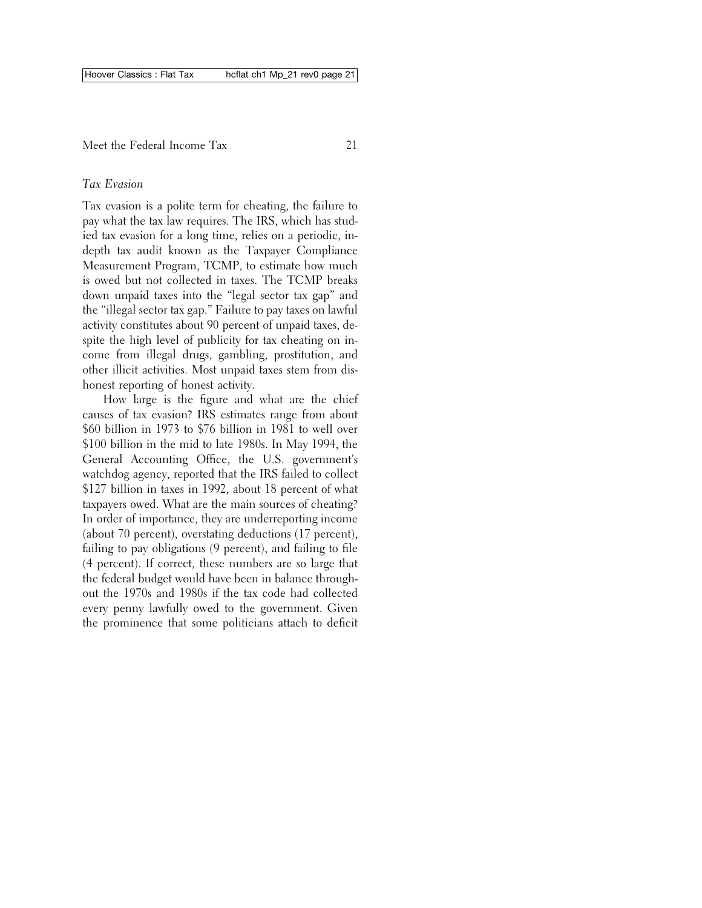### *Tax Evasion*

Tax evasion is a polite term for cheating, the failure to pay what the tax law requires. The IRS, which has studied tax evasion for a long time, relies on a periodic, indepth tax audit known as the Taxpayer Compliance Measurement Program, TCMP, to estimate how much is owed but not collected in taxes. The TCMP breaks down unpaid taxes into the "legal sector tax gap" and the "illegal sector tax gap." Failure to pay taxes on lawful activity constitutes about 90 percent of unpaid taxes, despite the high level of publicity for tax cheating on income from illegal drugs, gambling, prostitution, and other illicit activities. Most unpaid taxes stem from dishonest reporting of honest activity.

How large is the figure and what are the chief causes of tax evasion? IRS estimates range from about \$60 billion in 1973 to \$76 billion in 1981 to well over \$100 billion in the mid to late 1980s. In May 1994, the General Accounting Office, the U.S. government's watchdog agency, reported that the IRS failed to collect \$127 billion in taxes in 1992, about 18 percent of what taxpayers owed. What are the main sources of cheating? In order of importance, they are underreporting income (about 70 percent), overstating deductions (17 percent), failing to pay obligations (9 percent), and failing to file (4 percent). If correct, these numbers are so large that the federal budget would have been in balance throughout the 1970s and 1980s if the tax code had collected every penny lawfully owed to the government. Given the prominence that some politicians attach to deficit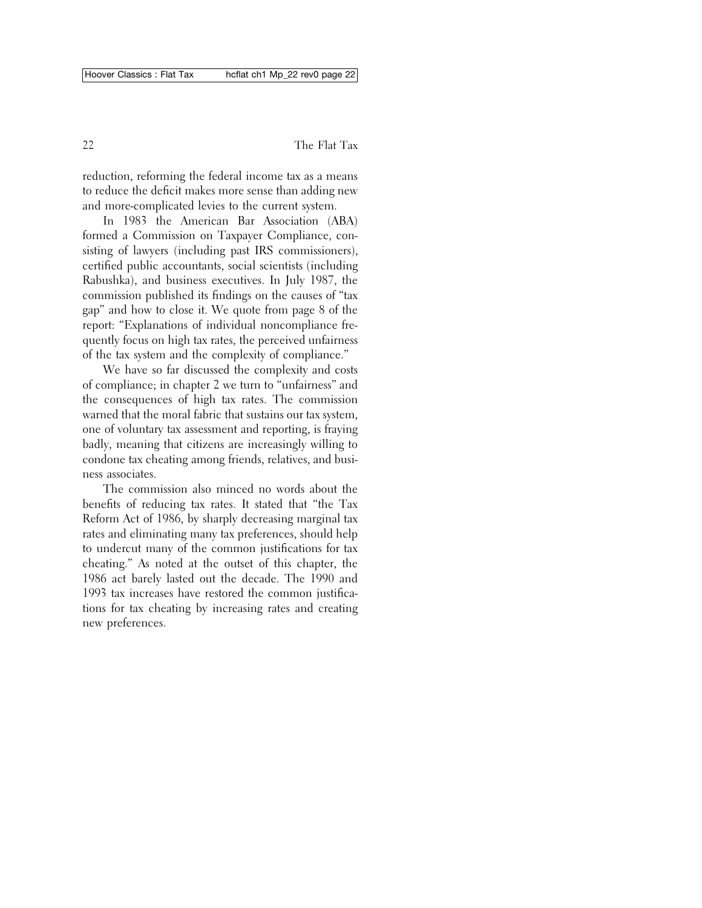reduction, reforming the federal income tax as a means to reduce the deficit makes more sense than adding new and more-complicated levies to the current system.

In 1983 the American Bar Association (ABA) formed a Commission on Taxpayer Compliance, consisting of lawyers (including past IRS commissioners), certified public accountants, social scientists (including Rabushka), and business executives. In July 1987, the commission published its findings on the causes of "tax gap" and how to close it. We quote from page 8 of the report: "Explanations of individual noncompliance frequently focus on high tax rates, the perceived unfairness of the tax system and the complexity of compliance."

We have so far discussed the complexity and costs of compliance; in chapter 2 we turn to "unfairness" and the consequences of high tax rates. The commission warned that the moral fabric that sustains our tax system, one of voluntary tax assessment and reporting, is fraying badly, meaning that citizens are increasingly willing to condone tax cheating among friends, relatives, and business associates.

The commission also minced no words about the benefits of reducing tax rates. It stated that "the Tax Reform Act of 1986, by sharply decreasing marginal tax rates and eliminating many tax preferences, should help to undercut many of the common justifications for tax cheating." As noted at the outset of this chapter, the 1986 act barely lasted out the decade. The 1990 and 1993 tax increases have restored the common justifications for tax cheating by increasing rates and creating new preferences.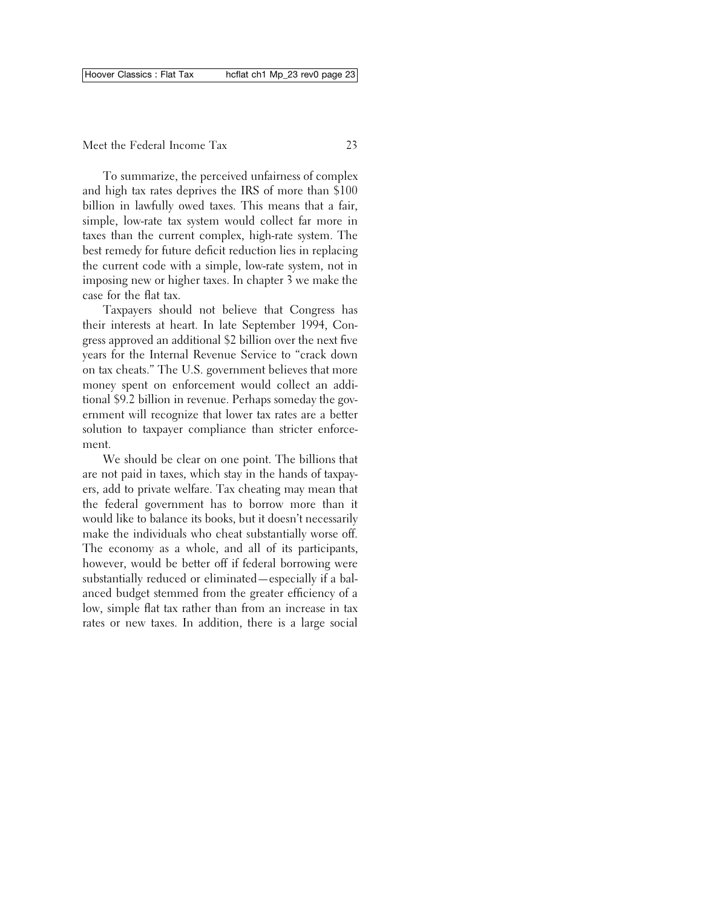To summarize, the perceived unfairness of complex and high tax rates deprives the IRS of more than \$100 billion in lawfully owed taxes. This means that a fair, simple, low-rate tax system would collect far more in taxes than the current complex, high-rate system. The best remedy for future deficit reduction lies in replacing the current code with a simple, low-rate system, not in imposing new or higher taxes. In chapter 3 we make the case for the flat tax.

Taxpayers should not believe that Congress has their interests at heart. In late September 1994, Congress approved an additional \$2 billion over the next five years for the Internal Revenue Service to "crack down on tax cheats." The U.S. government believes that more money spent on enforcement would collect an additional \$9.2 billion in revenue. Perhaps someday the government will recognize that lower tax rates are a better solution to taxpayer compliance than stricter enforcement.

We should be clear on one point. The billions that are not paid in taxes, which stay in the hands of taxpayers, add to private welfare. Tax cheating may mean that the federal government has to borrow more than it would like to balance its books, but it doesn't necessarily make the individuals who cheat substantially worse off. The economy as a whole, and all of its participants, however, would be better off if federal borrowing were substantially reduced or eliminated—especially if a balanced budget stemmed from the greater efficiency of a low, simple flat tax rather than from an increase in tax rates or new taxes. In addition, there is a large social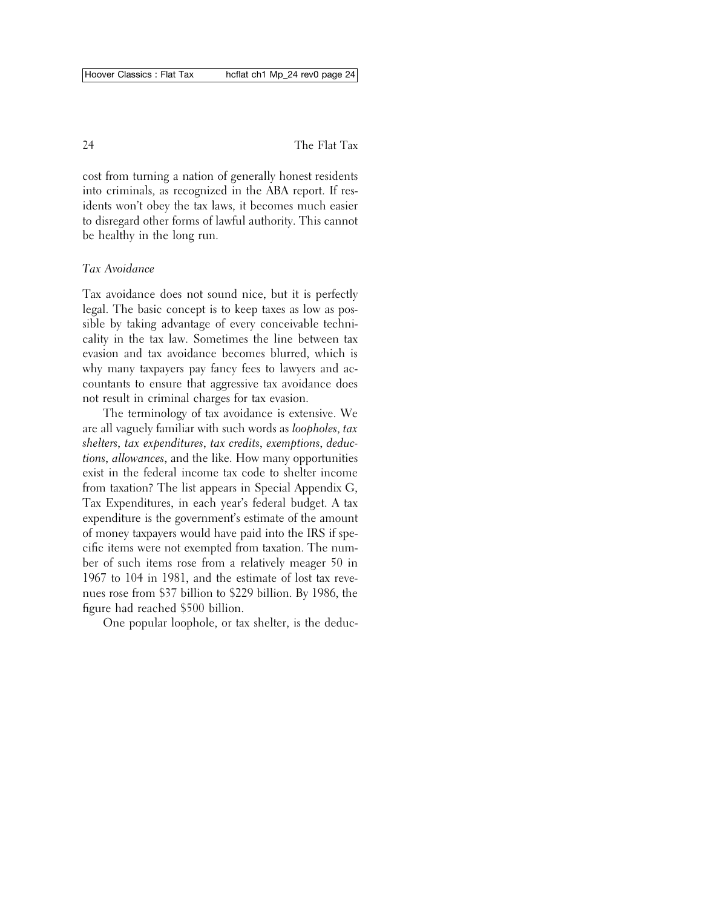cost from turning a nation of generally honest residents into criminals, as recognized in the ABA report. If residents won't obey the tax laws, it becomes much easier to disregard other forms of lawful authority. This cannot be healthy in the long run.

# *Tax Avoidance*

Tax avoidance does not sound nice, but it is perfectly legal. The basic concept is to keep taxes as low as possible by taking advantage of every conceivable technicality in the tax law. Sometimes the line between tax evasion and tax avoidance becomes blurred, which is why many taxpayers pay fancy fees to lawyers and accountants to ensure that aggressive tax avoidance does not result in criminal charges for tax evasion.

The terminology of tax avoidance is extensive. We are all vaguely familiar with such words as *loopholes*, *tax shelters*, *tax expenditures*, *tax credits*, *exemptions*, *deductions*, *allowances*, and the like. How many opportunities exist in the federal income tax code to shelter income from taxation? The list appears in Special Appendix G, Tax Expenditures, in each year's federal budget. A tax expenditure is the government's estimate of the amount of money taxpayers would have paid into the IRS if specific items were not exempted from taxation. The number of such items rose from a relatively meager 50 in 1967 to 104 in 1981, and the estimate of lost tax revenues rose from \$37 billion to \$229 billion. By 1986, the figure had reached \$500 billion.

One popular loophole, or tax shelter, is the deduc-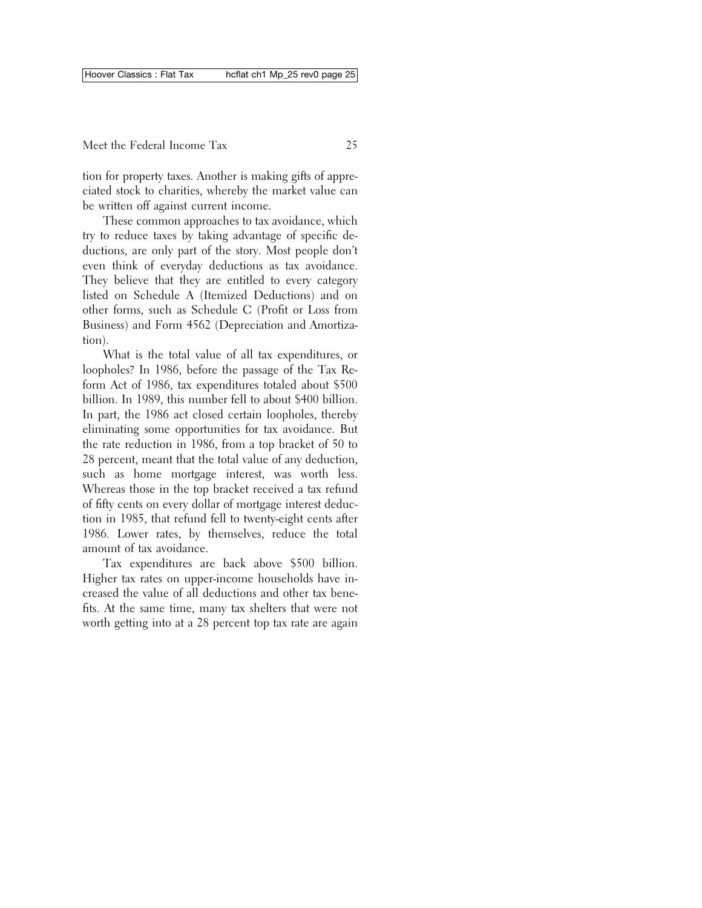tion for property taxes. Another is making gifts of appreciated stock to charities, whereby the market value can be written off against current income.

These common approaches to tax avoidance, which try to reduce taxes by taking advantage of specific deductions, are only part of the story. Most people don't even think of everyday deductions as tax avoidance. They believe that they are entitled to every category listed on Schedule A (Itemized Deductions) and on other forms, such as Schedule C (Profit or Loss from Business) and Form 4562 (Depreciation and Amortization).

What is the total value of all tax expenditures, or loopholes? In 1986, before the passage of the Tax Reform Act of 1986, tax expenditures totaled about \$500 billion. In 1989, this number fell to about \$400 billion. In part, the 1986 act closed certain loopholes, thereby eliminating some opportunities for tax avoidance. But the rate reduction in 1986, from a top bracket of 50 to 28 percent, meant that the total value of any deduction, such as home mortgage interest, was worth less. Whereas those in the top bracket received a tax refund of fifty cents on every dollar of mortgage interest deduction in 1985, that refund fell to twenty-eight cents after 1986. Lower rates, by themselves, reduce the total amount of tax avoidance.

Tax expenditures are back above \$500 billion. Higher tax rates on upper-income households have increased the value of all deductions and other tax benefits. At the same time, many tax shelters that were not worth getting into at a 28 percent top tax rate are again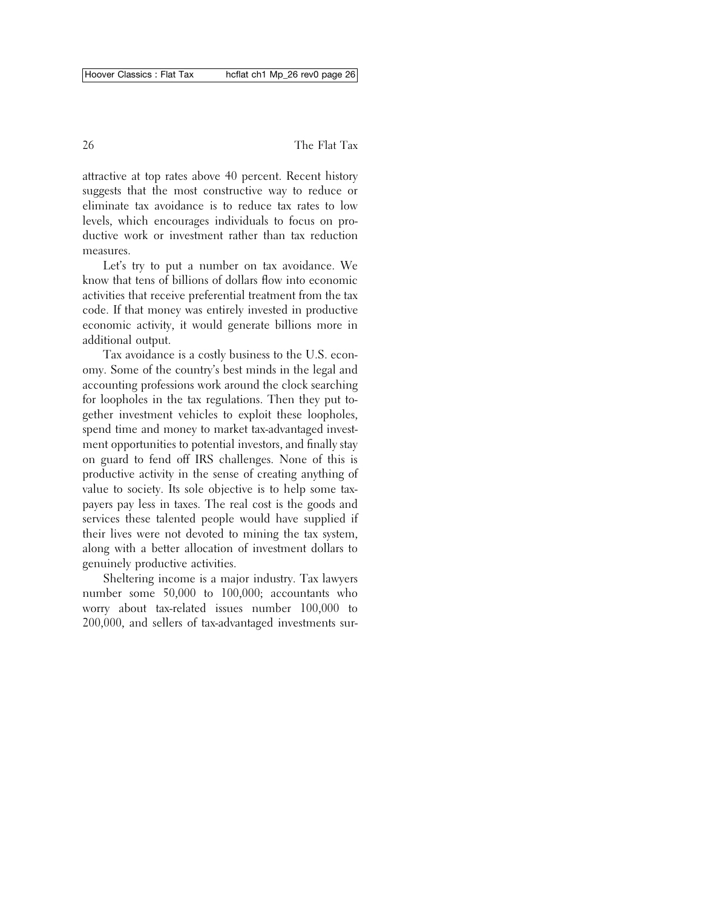attractive at top rates above 40 percent. Recent history suggests that the most constructive way to reduce or eliminate tax avoidance is to reduce tax rates to low levels, which encourages individuals to focus on productive work or investment rather than tax reduction measures.

Let's try to put a number on tax avoidance. We know that tens of billions of dollars flow into economic activities that receive preferential treatment from the tax code. If that money was entirely invested in productive economic activity, it would generate billions more in additional output.

Tax avoidance is a costly business to the U.S. economy. Some of the country's best minds in the legal and accounting professions work around the clock searching for loopholes in the tax regulations. Then they put together investment vehicles to exploit these loopholes, spend time and money to market tax-advantaged investment opportunities to potential investors, and finally stay on guard to fend off IRS challenges. None of this is productive activity in the sense of creating anything of value to society. Its sole objective is to help some taxpayers pay less in taxes. The real cost is the goods and services these talented people would have supplied if their lives were not devoted to mining the tax system, along with a better allocation of investment dollars to genuinely productive activities.

Sheltering income is a major industry. Tax lawyers number some 50,000 to 100,000; accountants who worry about tax-related issues number 100,000 to 200,000, and sellers of tax-advantaged investments sur-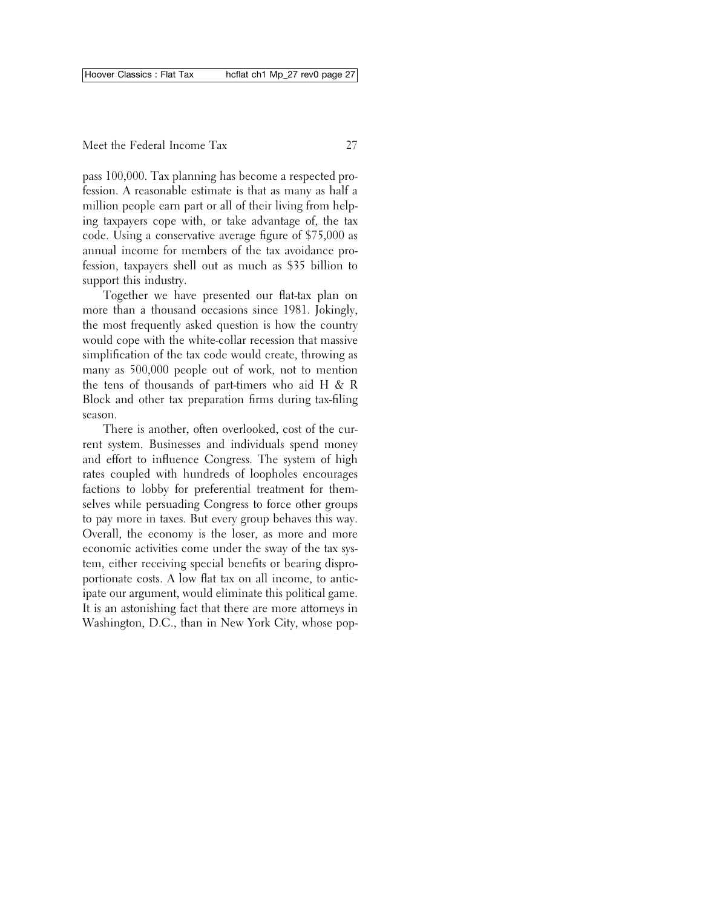pass 100,000. Tax planning has become a respected profession. A reasonable estimate is that as many as half a million people earn part or all of their living from helping taxpayers cope with, or take advantage of, the tax code. Using a conservative average figure of \$75,000 as annual income for members of the tax avoidance profession, taxpayers shell out as much as \$35 billion to support this industry.

Together we have presented our flat-tax plan on more than a thousand occasions since 1981. Jokingly, the most frequently asked question is how the country would cope with the white-collar recession that massive simplification of the tax code would create, throwing as many as 500,000 people out of work, not to mention the tens of thousands of part-timers who aid H & R Block and other tax preparation firms during tax-filing season.

There is another, often overlooked, cost of the current system. Businesses and individuals spend money and effort to influence Congress. The system of high rates coupled with hundreds of loopholes encourages factions to lobby for preferential treatment for themselves while persuading Congress to force other groups to pay more in taxes. But every group behaves this way. Overall, the economy is the loser, as more and more economic activities come under the sway of the tax system, either receiving special benefits or bearing disproportionate costs. A low flat tax on all income, to anticipate our argument, would eliminate this political game. It is an astonishing fact that there are more attorneys in Washington, D.C., than in New York City, whose pop-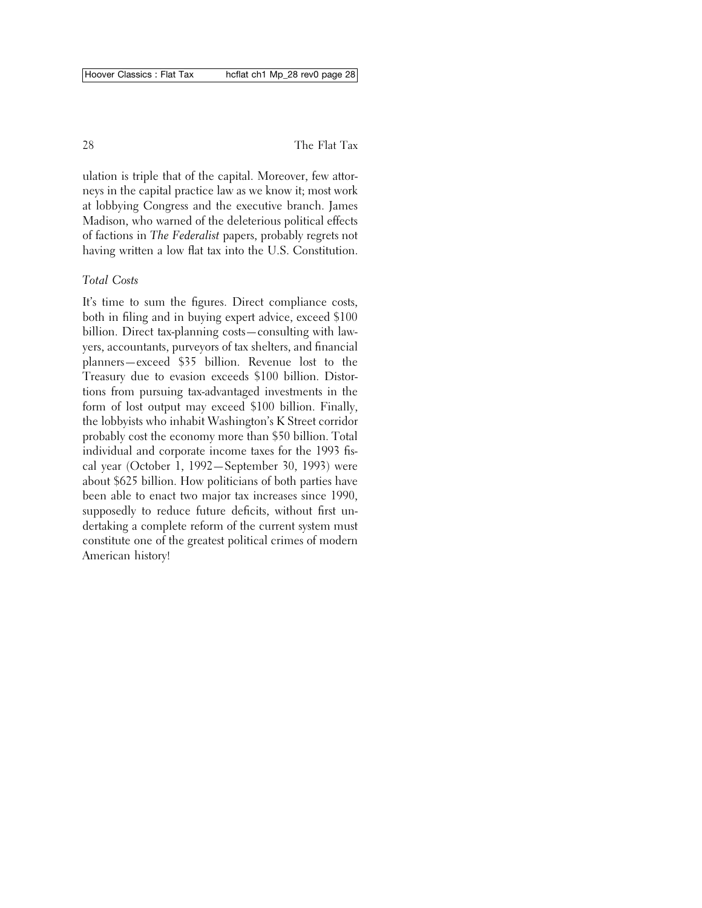ulation is triple that of the capital. Moreover, few attorneys in the capital practice law as we know it; most work at lobbying Congress and the executive branch. James Madison, who warned of the deleterious political effects of factions in *The Federalist* papers, probably regrets not having written a low flat tax into the U.S. Constitution.

# *Total Costs*

It's time to sum the figures. Direct compliance costs, both in filing and in buying expert advice, exceed \$100 billion. Direct tax-planning costs—consulting with lawyers, accountants, purveyors of tax shelters, and financial planners—exceed \$35 billion. Revenue lost to the Treasury due to evasion exceeds \$100 billion. Distortions from pursuing tax-advantaged investments in the form of lost output may exceed \$100 billion. Finally, the lobbyists who inhabit Washington's K Street corridor probably cost the economy more than \$50 billion. Total individual and corporate income taxes for the 1993 fiscal year (October 1, 1992—September 30, 1993) were about \$625 billion. How politicians of both parties have been able to enact two major tax increases since 1990, supposedly to reduce future deficits, without first undertaking a complete reform of the current system must constitute one of the greatest political crimes of modern American history!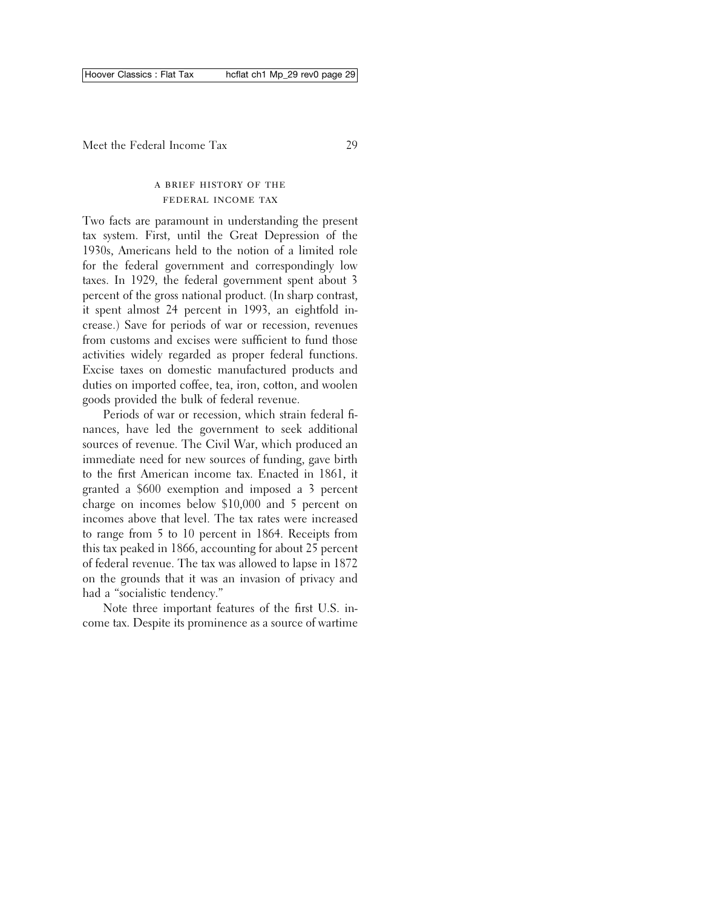### a brief history of the federal income tax

Two facts are paramount in understanding the present tax system. First, until the Great Depression of the 1930s, Americans held to the notion of a limited role for the federal government and correspondingly low taxes. In 1929, the federal government spent about 3 percent of the gross national product. (In sharp contrast, it spent almost 24 percent in 1993, an eightfold increase.) Save for periods of war or recession, revenues from customs and excises were sufficient to fund those activities widely regarded as proper federal functions. Excise taxes on domestic manufactured products and duties on imported coffee, tea, iron, cotton, and woolen goods provided the bulk of federal revenue.

Periods of war or recession, which strain federal finances, have led the government to seek additional sources of revenue. The Civil War, which produced an immediate need for new sources of funding, gave birth to the first American income tax. Enacted in 1861, it granted a \$600 exemption and imposed a 3 percent charge on incomes below \$10,000 and 5 percent on incomes above that level. The tax rates were increased to range from 5 to 10 percent in 1864. Receipts from this tax peaked in 1866, accounting for about 25 percent of federal revenue. The tax was allowed to lapse in 1872 on the grounds that it was an invasion of privacy and had a "socialistic tendency."

Note three important features of the first U.S. income tax. Despite its prominence as a source of wartime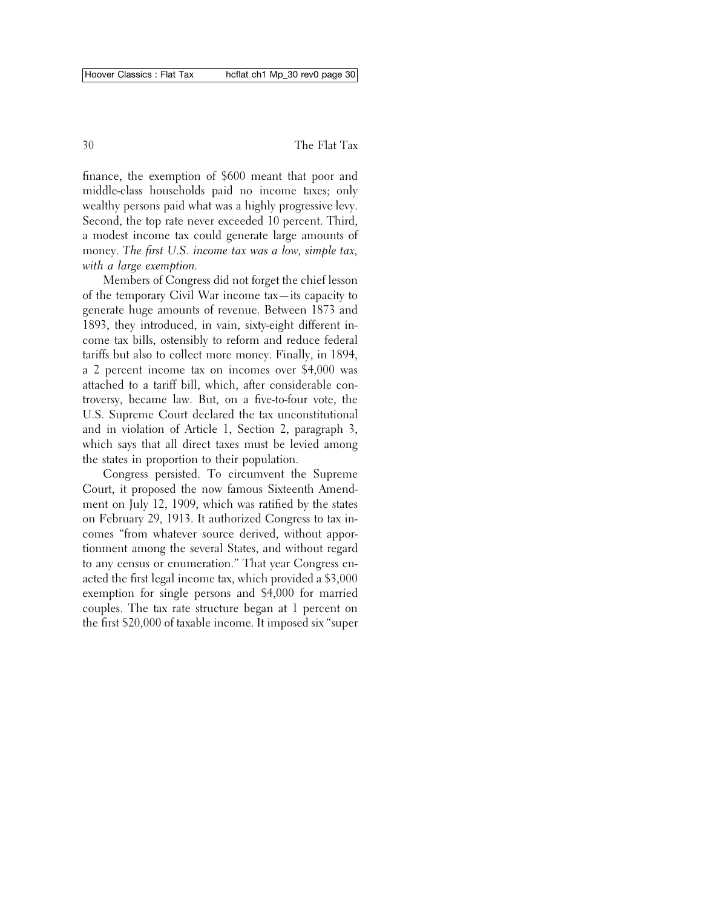finance, the exemption of \$600 meant that poor and middle-class households paid no income taxes; only wealthy persons paid what was a highly progressive levy. Second, the top rate never exceeded 10 percent. Third, a modest income tax could generate large amounts of money. *The first U.S. income tax was a low, simple tax, with a large exemption.*

Members of Congress did not forget the chief lesson of the temporary Civil War income tax—its capacity to generate huge amounts of revenue. Between 1873 and 1893, they introduced, in vain, sixty-eight different income tax bills, ostensibly to reform and reduce federal tariffs but also to collect more money. Finally, in 1894, a 2 percent income tax on incomes over \$4,000 was attached to a tariff bill, which, after considerable controversy, became law. But, on a five-to-four vote, the U.S. Supreme Court declared the tax unconstitutional and in violation of Article 1, Section 2, paragraph 3, which says that all direct taxes must be levied among the states in proportion to their population.

Congress persisted. To circumvent the Supreme Court, it proposed the now famous Sixteenth Amendment on July 12, 1909, which was ratified by the states on February 29, 1913. It authorized Congress to tax incomes "from whatever source derived, without apportionment among the several States, and without regard to any census or enumeration." That year Congress enacted the first legal income tax, which provided a \$3,000 exemption for single persons and \$4,000 for married couples. The tax rate structure began at 1 percent on the first \$20,000 of taxable income. It imposed six "super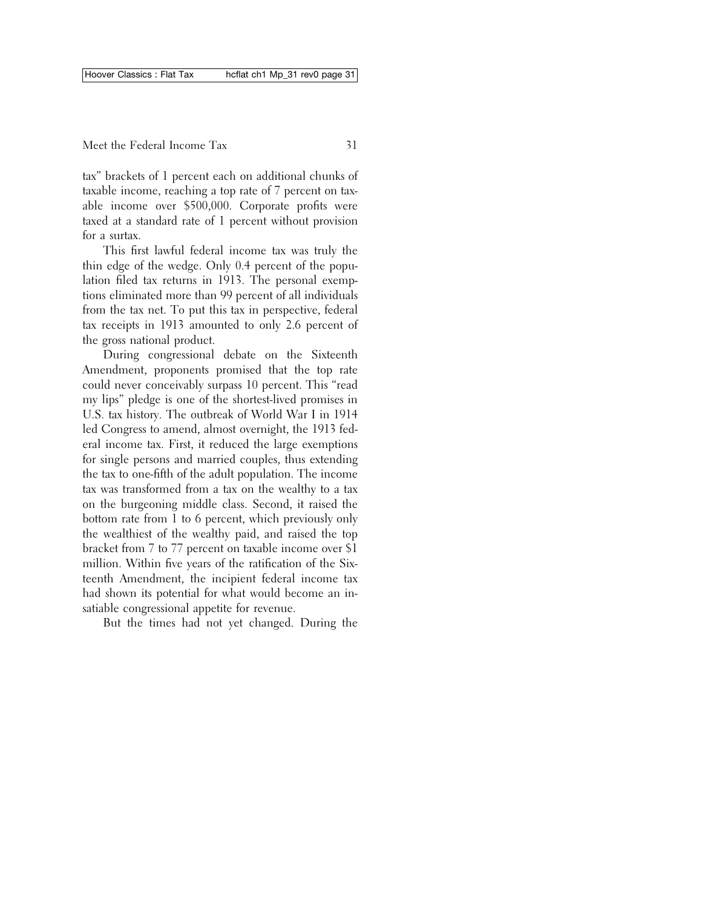tax" brackets of 1 percent each on additional chunks of taxable income, reaching a top rate of 7 percent on taxable income over \$500,000. Corporate profits were taxed at a standard rate of 1 percent without provision for a surtax.

This first lawful federal income tax was truly the thin edge of the wedge. Only 0.4 percent of the population filed tax returns in 1913. The personal exemptions eliminated more than 99 percent of all individuals from the tax net. To put this tax in perspective, federal tax receipts in 1913 amounted to only 2.6 percent of the gross national product.

During congressional debate on the Sixteenth Amendment, proponents promised that the top rate could never conceivably surpass 10 percent. This "read my lips" pledge is one of the shortest-lived promises in U.S. tax history. The outbreak of World War I in 1914 led Congress to amend, almost overnight, the 1913 federal income tax. First, it reduced the large exemptions for single persons and married couples, thus extending the tax to one-fifth of the adult population. The income tax was transformed from a tax on the wealthy to a tax on the burgeoning middle class. Second, it raised the bottom rate from 1 to 6 percent, which previously only the wealthiest of the wealthy paid, and raised the top bracket from 7 to 77 percent on taxable income over \$1 million. Within five years of the ratification of the Sixteenth Amendment, the incipient federal income tax had shown its potential for what would become an insatiable congressional appetite for revenue.

But the times had not yet changed. During the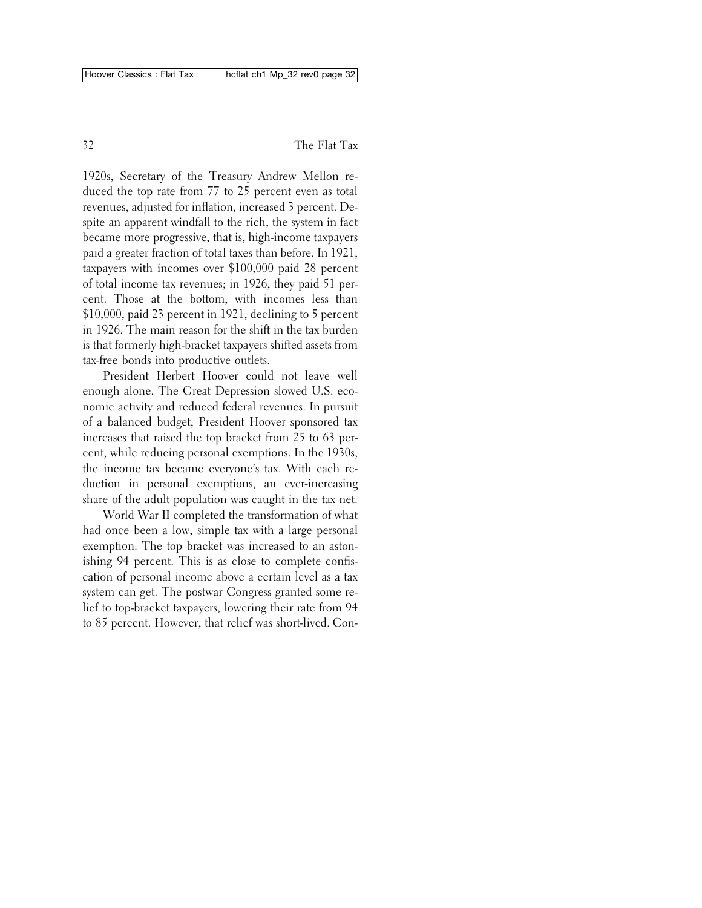1920s, Secretary of the Treasury Andrew Mellon reduced the top rate from 77 to 25 percent even as total revenues, adjusted for inflation, increased 3 percent. Despite an apparent windfall to the rich, the system in fact became more progressive, that is, high-income taxpayers paid a greater fraction of total taxes than before. In 1921, taxpayers with incomes over \$100,000 paid 28 percent of total income tax revenues; in 1926, they paid 51 percent. Those at the bottom, with incomes less than \$10,000, paid 23 percent in 1921, declining to 5 percent in 1926. The main reason for the shift in the tax burden is that formerly high-bracket taxpayers shifted assets from tax-free bonds into productive outlets.

President Herbert Hoover could not leave well enough alone. The Great Depression slowed U.S. economic activity and reduced federal revenues. In pursuit of a balanced budget, President Hoover sponsored tax increases that raised the top bracket from 25 to 63 percent, while reducing personal exemptions. In the 1930s, the income tax became everyone's tax. With each reduction in personal exemptions, an ever-increasing share of the adult population was caught in the tax net.

World War II completed the transformation of what had once been a low, simple tax with a large personal exemption. The top bracket was increased to an astonishing 94 percent. This is as close to complete confiscation of personal income above a certain level as a tax system can get. The postwar Congress granted some relief to top-bracket taxpayers, lowering their rate from 94 to 85 percent. However, that relief was short-lived. Con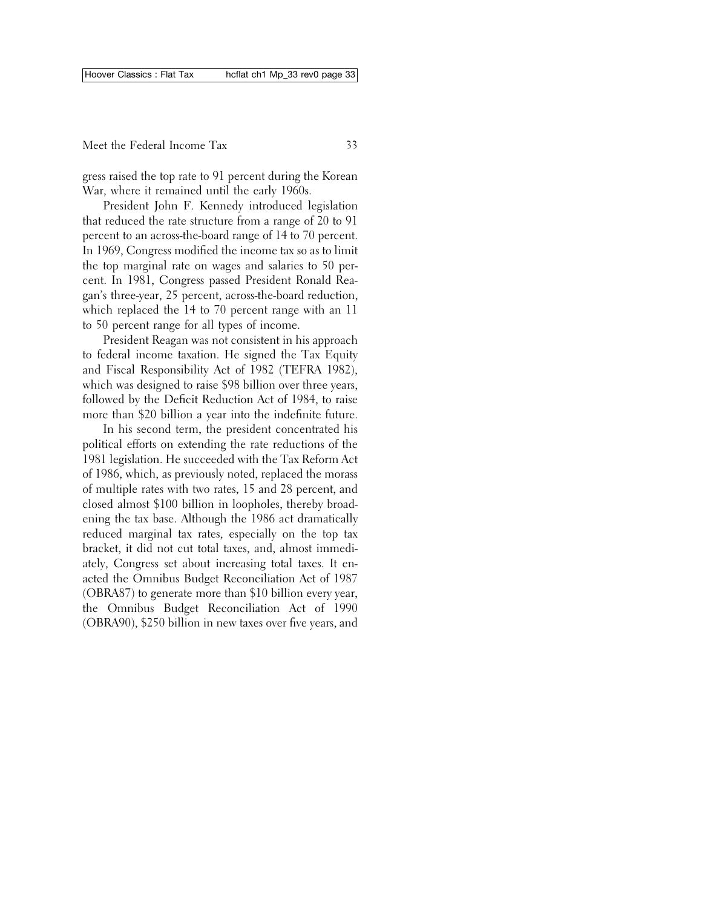gress raised the top rate to 91 percent during the Korean War, where it remained until the early 1960s.

President John F. Kennedy introduced legislation that reduced the rate structure from a range of 20 to 91 percent to an across-the-board range of 14 to 70 percent. In 1969, Congress modified the income tax so as to limit the top marginal rate on wages and salaries to 50 percent. In 1981, Congress passed President Ronald Reagan's three-year, 25 percent, across-the-board reduction, which replaced the 14 to 70 percent range with an 11 to 50 percent range for all types of income.

President Reagan was not consistent in his approach to federal income taxation. He signed the Tax Equity and Fiscal Responsibility Act of 1982 (TEFRA 1982), which was designed to raise \$98 billion over three years, followed by the Deficit Reduction Act of 1984, to raise more than \$20 billion a year into the indefinite future.

In his second term, the president concentrated his political efforts on extending the rate reductions of the 1981 legislation. He succeeded with the Tax Reform Act of 1986, which, as previously noted, replaced the morass of multiple rates with two rates, 15 and 28 percent, and closed almost \$100 billion in loopholes, thereby broadening the tax base. Although the 1986 act dramatically reduced marginal tax rates, especially on the top tax bracket, it did not cut total taxes, and, almost immediately, Congress set about increasing total taxes. It enacted the Omnibus Budget Reconciliation Act of 1987 (OBRA87) to generate more than \$10 billion every year, the Omnibus Budget Reconciliation Act of 1990 (OBRA90), \$250 billion in new taxes over five years, and